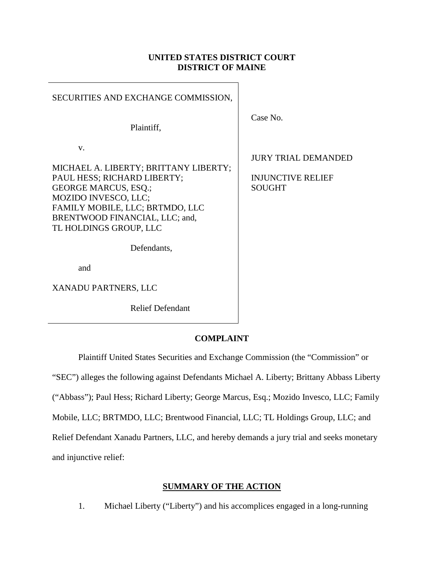# **UNITED STATES DISTRICT COURT DISTRICT OF MAINE**

| SECURITIES AND EXCHANGE COMMISSION,                                                                                                                                                                                              |                                                                         |
|----------------------------------------------------------------------------------------------------------------------------------------------------------------------------------------------------------------------------------|-------------------------------------------------------------------------|
| Plaintiff,                                                                                                                                                                                                                       | Case No.                                                                |
| V.<br>MICHAEL A. LIBERTY; BRITTANY LIBERTY;<br>PAUL HESS; RICHARD LIBERTY;<br><b>GEORGE MARCUS, ESQ.;</b><br>MOZIDO INVESCO, LLC;<br>FAMILY MOBILE, LLC; BRTMDO, LLC<br>BRENTWOOD FINANCIAL, LLC; and,<br>TL HOLDINGS GROUP, LLC | <b>JURY TRIAL DEMANDED</b><br><b>INJUNCTIVE RELIEF</b><br><b>SOUGHT</b> |
| Defendants,                                                                                                                                                                                                                      |                                                                         |
| and                                                                                                                                                                                                                              |                                                                         |
| XANADU PARTNERS, LLC                                                                                                                                                                                                             |                                                                         |
| <b>Relief Defendant</b>                                                                                                                                                                                                          |                                                                         |

# **COMPLAINT**

Plaintiff United States Securities and Exchange Commission (the "Commission" or "SEC") alleges the following against Defendants Michael A. Liberty; Brittany Abbass Liberty ("Abbass"); Paul Hess; Richard Liberty; George Marcus, Esq.; Mozido Invesco, LLC; Family Mobile, LLC; BRTMDO, LLC; Brentwood Financial, LLC; TL Holdings Group, LLC; and Relief Defendant Xanadu Partners, LLC, and hereby demands a jury trial and seeks monetary and injunctive relief:

## **SUMMARY OF THE ACTION**

1. Michael Liberty ("Liberty") and his accomplices engaged in a long-running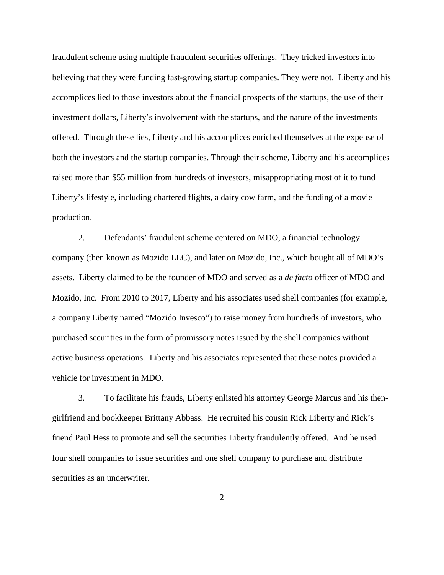fraudulent scheme using multiple fraudulent securities offerings. They tricked investors into believing that they were funding fast-growing startup companies. They were not. Liberty and his accomplices lied to those investors about the financial prospects of the startups, the use of their investment dollars, Liberty's involvement with the startups, and the nature of the investments offered. Through these lies, Liberty and his accomplices enriched themselves at the expense of both the investors and the startup companies. Through their scheme, Liberty and his accomplices raised more than \$55 million from hundreds of investors, misappropriating most of it to fund Liberty's lifestyle, including chartered flights, a dairy cow farm, and the funding of a movie production.

2. Defendants' fraudulent scheme centered on MDO, a financial technology company (then known as Mozido LLC), and later on Mozido, Inc., which bought all of MDO's assets. Liberty claimed to be the founder of MDO and served as a *de facto* officer of MDO and Mozido, Inc. From 2010 to 2017, Liberty and his associates used shell companies (for example, a company Liberty named "Mozido Invesco") to raise money from hundreds of investors, who purchased securities in the form of promissory notes issued by the shell companies without active business operations. Liberty and his associates represented that these notes provided a vehicle for investment in MDO.

3. To facilitate his frauds, Liberty enlisted his attorney George Marcus and his thengirlfriend and bookkeeper Brittany Abbass. He recruited his cousin Rick Liberty and Rick's friend Paul Hess to promote and sell the securities Liberty fraudulently offered. And he used four shell companies to issue securities and one shell company to purchase and distribute securities as an underwriter.

2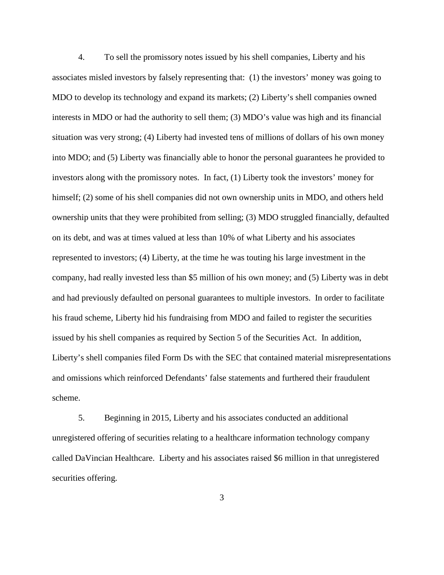4. To sell the promissory notes issued by his shell companies, Liberty and his associates misled investors by falsely representing that: (1) the investors' money was going to MDO to develop its technology and expand its markets; (2) Liberty's shell companies owned interests in MDO or had the authority to sell them; (3) MDO's value was high and its financial situation was very strong; (4) Liberty had invested tens of millions of dollars of his own money into MDO; and (5) Liberty was financially able to honor the personal guarantees he provided to investors along with the promissory notes. In fact, (1) Liberty took the investors' money for himself; (2) some of his shell companies did not own ownership units in MDO, and others held ownership units that they were prohibited from selling; (3) MDO struggled financially, defaulted on its debt, and was at times valued at less than 10% of what Liberty and his associates represented to investors; (4) Liberty, at the time he was touting his large investment in the company, had really invested less than \$5 million of his own money; and (5) Liberty was in debt and had previously defaulted on personal guarantees to multiple investors. In order to facilitate his fraud scheme, Liberty hid his fundraising from MDO and failed to register the securities issued by his shell companies as required by Section 5 of the Securities Act. In addition, Liberty's shell companies filed Form Ds with the SEC that contained material misrepresentations and omissions which reinforced Defendants' false statements and furthered their fraudulent scheme.

5. Beginning in 2015, Liberty and his associates conducted an additional unregistered offering of securities relating to a healthcare information technology company called DaVincian Healthcare. Liberty and his associates raised \$6 million in that unregistered securities offering.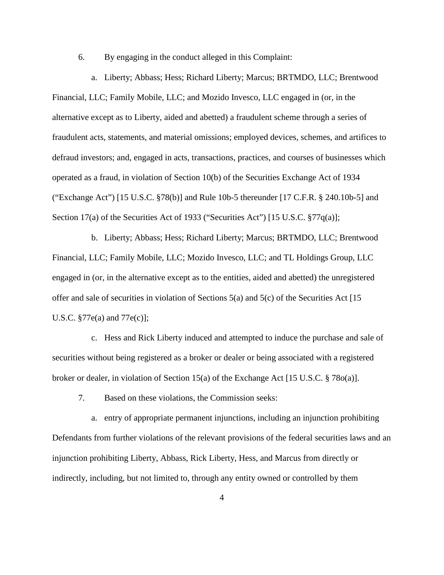6. By engaging in the conduct alleged in this Complaint:

a. Liberty; Abbass; Hess; Richard Liberty; Marcus; BRTMDO, LLC; Brentwood Financial, LLC; Family Mobile, LLC; and Mozido Invesco, LLC engaged in (or, in the alternative except as to Liberty, aided and abetted) a fraudulent scheme through a series of fraudulent acts, statements, and material omissions; employed devices, schemes, and artifices to defraud investors; and, engaged in acts, transactions, practices, and courses of businesses which operated as a fraud, in violation of Section 10(b) of the Securities Exchange Act of 1934 ("Exchange Act") [15 U.S.C. §78(b)] and Rule 10b-5 thereunder [17 C.F.R. § 240.10b-5] and Section 17(a) of the Securities Act of 1933 ("Securities Act") [15 U.S.C. §77q(a)];

b. Liberty; Abbass; Hess; Richard Liberty; Marcus; BRTMDO, LLC; Brentwood Financial, LLC; Family Mobile, LLC; Mozido Invesco, LLC; and TL Holdings Group, LLC engaged in (or, in the alternative except as to the entities, aided and abetted) the unregistered offer and sale of securities in violation of Sections  $5(a)$  and  $5(c)$  of the Securities Act [15] U.S.C. §77e(a) and 77e(c)];

c. Hess and Rick Liberty induced and attempted to induce the purchase and sale of securities without being registered as a broker or dealer or being associated with a registered broker or dealer, in violation of Section 15(a) of the Exchange Act [15 U.S.C. § 78o(a)].

7. Based on these violations, the Commission seeks:

a. entry of appropriate permanent injunctions, including an injunction prohibiting Defendants from further violations of the relevant provisions of the federal securities laws and an injunction prohibiting Liberty, Abbass, Rick Liberty, Hess, and Marcus from directly or indirectly, including, but not limited to, through any entity owned or controlled by them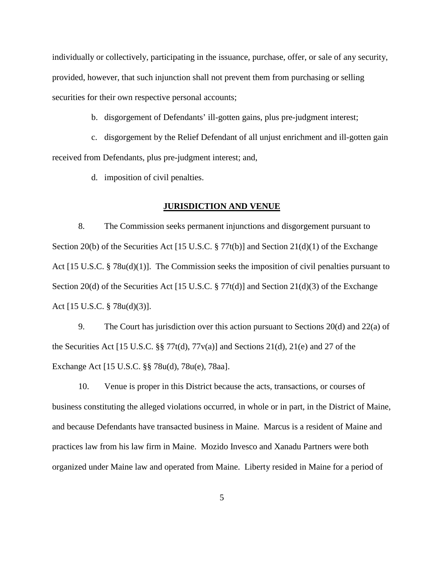individually or collectively, participating in the issuance, purchase, offer, or sale of any security, provided, however, that such injunction shall not prevent them from purchasing or selling securities for their own respective personal accounts;

b. disgorgement of Defendants' ill-gotten gains, plus pre-judgment interest;

c. disgorgement by the Relief Defendant of all unjust enrichment and ill-gotten gain received from Defendants, plus pre-judgment interest; and,

d. imposition of civil penalties.

#### **JURISDICTION AND VENUE**

8. The Commission seeks permanent injunctions and disgorgement pursuant to Section 20(b) of the Securities Act [15 U.S.C.  $\S 77t(b)$ ] and Section 21(d)(1) of the Exchange Act [15 U.S.C. § 78u(d)(1)]. The Commission seeks the imposition of civil penalties pursuant to Section 20(d) of the Securities Act [15 U.S.C. § 77t(d)] and Section 21(d)(3) of the Exchange Act [15 U.S.C. § 78u(d)(3)].

9. The Court has jurisdiction over this action pursuant to Sections 20(d) and 22(a) of the Securities Act [15 U.S.C. §§ 77t(d), 77v(a)] and Sections 21(d), 21(e) and 27 of the Exchange Act [15 U.S.C. §§ 78u(d), 78u(e), 78aa].

10. Venue is proper in this District because the acts, transactions, or courses of business constituting the alleged violations occurred, in whole or in part, in the District of Maine, and because Defendants have transacted business in Maine. Marcus is a resident of Maine and practices law from his law firm in Maine. Mozido Invesco and Xanadu Partners were both organized under Maine law and operated from Maine. Liberty resided in Maine for a period of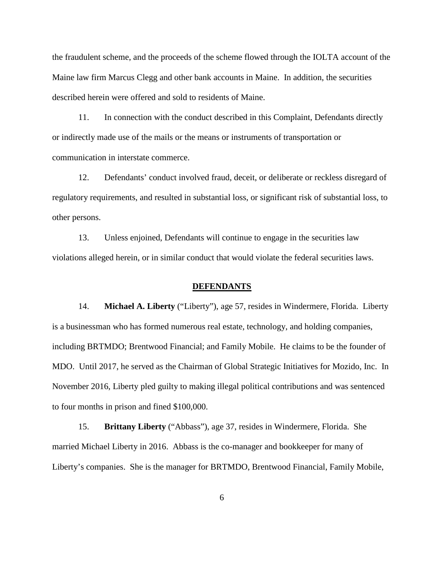the fraudulent scheme, and the proceeds of the scheme flowed through the IOLTA account of the Maine law firm Marcus Clegg and other bank accounts in Maine. In addition, the securities described herein were offered and sold to residents of Maine.

11. In connection with the conduct described in this Complaint, Defendants directly or indirectly made use of the mails or the means or instruments of transportation or communication in interstate commerce.

12. Defendants' conduct involved fraud, deceit, or deliberate or reckless disregard of regulatory requirements, and resulted in substantial loss, or significant risk of substantial loss, to other persons.

13. Unless enjoined, Defendants will continue to engage in the securities law violations alleged herein, or in similar conduct that would violate the federal securities laws.

#### **DEFENDANTS**

14. **Michael A. Liberty** ("Liberty"), age 57, resides in Windermere, Florida. Liberty is a businessman who has formed numerous real estate, technology, and holding companies, including BRTMDO; Brentwood Financial; and Family Mobile. He claims to be the founder of MDO. Until 2017, he served as the Chairman of Global Strategic Initiatives for Mozido, Inc. In November 2016, Liberty pled guilty to making illegal political contributions and was sentenced to four months in prison and fined \$100,000.

15. **Brittany Liberty** ("Abbass"), age 37, resides in Windermere, Florida. She married Michael Liberty in 2016. Abbass is the co-manager and bookkeeper for many of Liberty's companies. She is the manager for BRTMDO, Brentwood Financial, Family Mobile,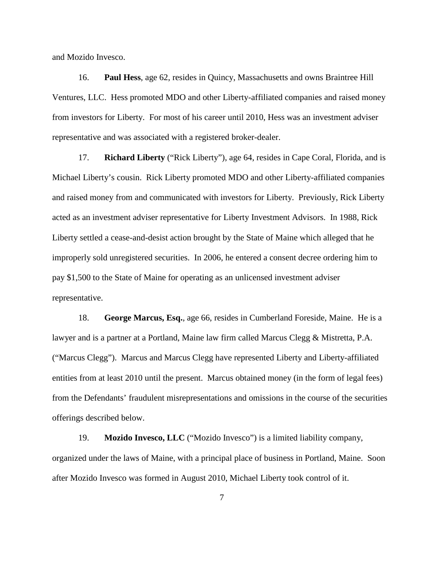and Mozido Invesco.

16. **Paul Hess**, age 62, resides in Quincy, Massachusetts and owns Braintree Hill Ventures, LLC. Hess promoted MDO and other Liberty-affiliated companies and raised money from investors for Liberty. For most of his career until 2010, Hess was an investment adviser representative and was associated with a registered broker-dealer.

17. **Richard Liberty** ("Rick Liberty"), age 64, resides in Cape Coral, Florida, and is Michael Liberty's cousin. Rick Liberty promoted MDO and other Liberty-affiliated companies and raised money from and communicated with investors for Liberty. Previously, Rick Liberty acted as an investment adviser representative for Liberty Investment Advisors. In 1988, Rick Liberty settled a cease-and-desist action brought by the State of Maine which alleged that he improperly sold unregistered securities. In 2006, he entered a consent decree ordering him to pay \$1,500 to the State of Maine for operating as an unlicensed investment adviser representative.

18. **George Marcus, Esq.**, age 66, resides in Cumberland Foreside, Maine. He is a lawyer and is a partner at a Portland, Maine law firm called Marcus Clegg & Mistretta, P.A. ("Marcus Clegg"). Marcus and Marcus Clegg have represented Liberty and Liberty-affiliated entities from at least 2010 until the present. Marcus obtained money (in the form of legal fees) from the Defendants' fraudulent misrepresentations and omissions in the course of the securities offerings described below.

19. **Mozido Invesco, LLC** ("Mozido Invesco") is a limited liability company, organized under the laws of Maine, with a principal place of business in Portland, Maine. Soon after Mozido Invesco was formed in August 2010, Michael Liberty took control of it.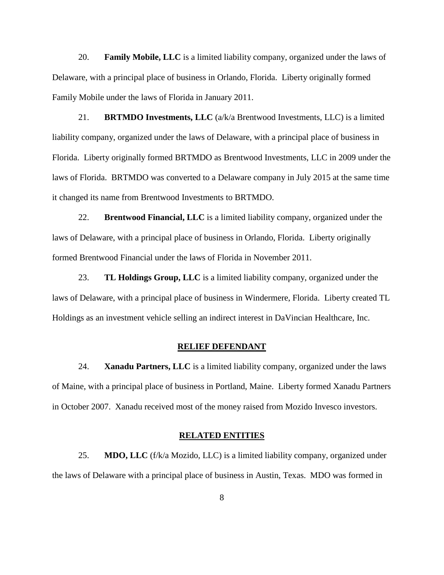20. **Family Mobile, LLC** is a limited liability company, organized under the laws of Delaware, with a principal place of business in Orlando, Florida. Liberty originally formed Family Mobile under the laws of Florida in January 2011.

21. **BRTMDO Investments, LLC** (a/k/a Brentwood Investments, LLC) is a limited liability company, organized under the laws of Delaware, with a principal place of business in Florida. Liberty originally formed BRTMDO as Brentwood Investments, LLC in 2009 under the laws of Florida. BRTMDO was converted to a Delaware company in July 2015 at the same time it changed its name from Brentwood Investments to BRTMDO.

22. **Brentwood Financial, LLC** is a limited liability company, organized under the laws of Delaware, with a principal place of business in Orlando, Florida. Liberty originally formed Brentwood Financial under the laws of Florida in November 2011.

23. **TL Holdings Group, LLC** is a limited liability company, organized under the laws of Delaware, with a principal place of business in Windermere, Florida. Liberty created TL Holdings as an investment vehicle selling an indirect interest in DaVincian Healthcare, Inc.

### **RELIEF DEFENDANT**

24. **Xanadu Partners, LLC** is a limited liability company, organized under the laws of Maine, with a principal place of business in Portland, Maine. Liberty formed Xanadu Partners in October 2007. Xanadu received most of the money raised from Mozido Invesco investors.

### **RELATED ENTITIES**

25. **MDO, LLC** (f/k/a Mozido, LLC) is a limited liability company, organized under the laws of Delaware with a principal place of business in Austin, Texas. MDO was formed in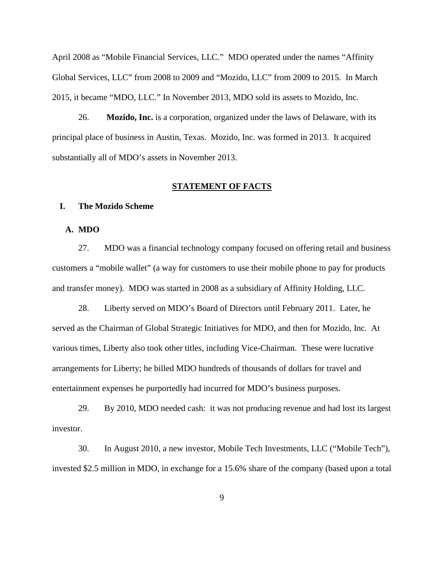April 2008 as "Mobile Financial Services, LLC." MDO operated under the names "Affinity Global Services, LLC" from 2008 to 2009 and "Mozido, LLC" from 2009 to 2015. In March 2015, it became "MDO, LLC." In November 2013, MDO sold its assets to Mozido, Inc.

26. **Mozido, Inc.** is a corporation, organized under the laws of Delaware, with its principal place of business in Austin, Texas. Mozido, Inc. was formed in 2013. It acquired substantially all of MDO's assets in November 2013.

### **STATEMENT OF FACTS**

### **I. The Mozido Scheme**

## **A. MDO**

27. MDO was a financial technology company focused on offering retail and business customers a "mobile wallet" (a way for customers to use their mobile phone to pay for products and transfer money). MDO was started in 2008 as a subsidiary of Affinity Holding, LLC.

28. Liberty served on MDO's Board of Directors until February 2011. Later, he served as the Chairman of Global Strategic Initiatives for MDO, and then for Mozido, Inc. At various times, Liberty also took other titles, including Vice-Chairman. These were lucrative arrangements for Liberty; he billed MDO hundreds of thousands of dollars for travel and entertainment expenses he purportedly had incurred for MDO's business purposes.

29. By 2010, MDO needed cash: it was not producing revenue and had lost its largest investor.

30. In August 2010, a new investor, Mobile Tech Investments, LLC ("Mobile Tech"), invested \$2.5 million in MDO, in exchange for a 15.6% share of the company (based upon a total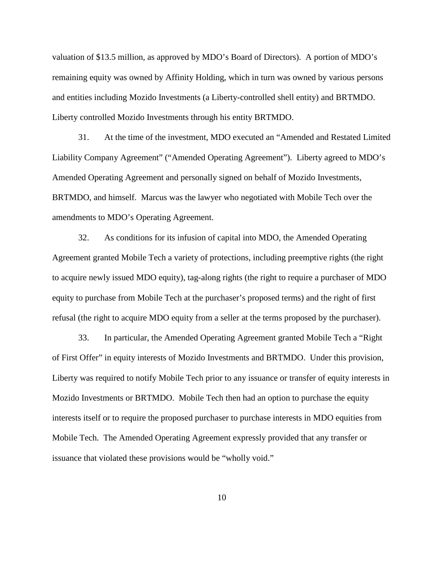valuation of \$13.5 million, as approved by MDO's Board of Directors). A portion of MDO's remaining equity was owned by Affinity Holding, which in turn was owned by various persons and entities including Mozido Investments (a Liberty-controlled shell entity) and BRTMDO. Liberty controlled Mozido Investments through his entity BRTMDO.

31. At the time of the investment, MDO executed an "Amended and Restated Limited Liability Company Agreement" ("Amended Operating Agreement"). Liberty agreed to MDO's Amended Operating Agreement and personally signed on behalf of Mozido Investments, BRTMDO, and himself. Marcus was the lawyer who negotiated with Mobile Tech over the amendments to MDO's Operating Agreement.

32. As conditions for its infusion of capital into MDO, the Amended Operating Agreement granted Mobile Tech a variety of protections, including preemptive rights (the right to acquire newly issued MDO equity), tag-along rights (the right to require a purchaser of MDO equity to purchase from Mobile Tech at the purchaser's proposed terms) and the right of first refusal (the right to acquire MDO equity from a seller at the terms proposed by the purchaser).

33. In particular, the Amended Operating Agreement granted Mobile Tech a "Right of First Offer" in equity interests of Mozido Investments and BRTMDO. Under this provision, Liberty was required to notify Mobile Tech prior to any issuance or transfer of equity interests in Mozido Investments or BRTMDO. Mobile Tech then had an option to purchase the equity interests itself or to require the proposed purchaser to purchase interests in MDO equities from Mobile Tech. The Amended Operating Agreement expressly provided that any transfer or issuance that violated these provisions would be "wholly void."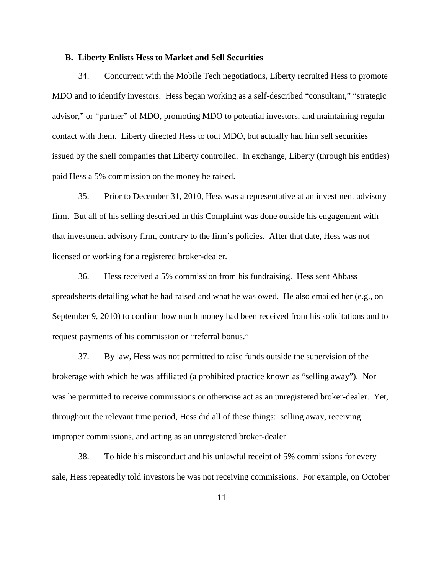### **B. Liberty Enlists Hess to Market and Sell Securities**

34. Concurrent with the Mobile Tech negotiations, Liberty recruited Hess to promote MDO and to identify investors. Hess began working as a self-described "consultant," "strategic advisor," or "partner" of MDO, promoting MDO to potential investors, and maintaining regular contact with them. Liberty directed Hess to tout MDO, but actually had him sell securities issued by the shell companies that Liberty controlled. In exchange, Liberty (through his entities) paid Hess a 5% commission on the money he raised.

35. Prior to December 31, 2010, Hess was a representative at an investment advisory firm. But all of his selling described in this Complaint was done outside his engagement with that investment advisory firm, contrary to the firm's policies. After that date, Hess was not licensed or working for a registered broker-dealer.

36. Hess received a 5% commission from his fundraising. Hess sent Abbass spreadsheets detailing what he had raised and what he was owed. He also emailed her (e.g., on September 9, 2010) to confirm how much money had been received from his solicitations and to request payments of his commission or "referral bonus."

37. By law, Hess was not permitted to raise funds outside the supervision of the brokerage with which he was affiliated (a prohibited practice known as "selling away"). Nor was he permitted to receive commissions or otherwise act as an unregistered broker-dealer. Yet, throughout the relevant time period, Hess did all of these things: selling away, receiving improper commissions, and acting as an unregistered broker-dealer.

38. To hide his misconduct and his unlawful receipt of 5% commissions for every sale, Hess repeatedly told investors he was not receiving commissions. For example, on October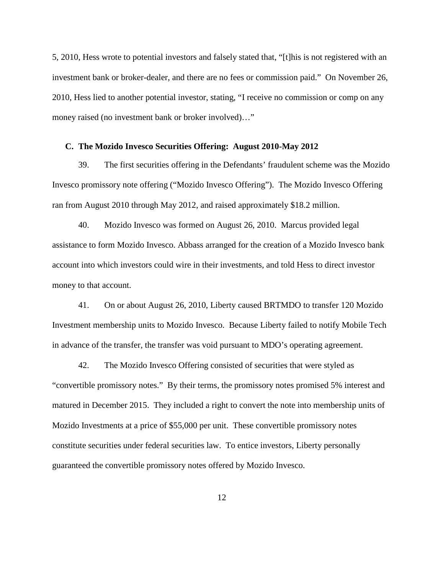5, 2010, Hess wrote to potential investors and falsely stated that, "[t]his is not registered with an investment bank or broker-dealer, and there are no fees or commission paid." On November 26, 2010, Hess lied to another potential investor, stating, "I receive no commission or comp on any money raised (no investment bank or broker involved)…"

#### **C. The Mozido Invesco Securities Offering: August 2010-May 2012**

39. The first securities offering in the Defendants' fraudulent scheme was the Mozido Invesco promissory note offering ("Mozido Invesco Offering"). The Mozido Invesco Offering ran from August 2010 through May 2012, and raised approximately \$18.2 million.

40. Mozido Invesco was formed on August 26, 2010. Marcus provided legal assistance to form Mozido Invesco. Abbass arranged for the creation of a Mozido Invesco bank account into which investors could wire in their investments, and told Hess to direct investor money to that account.

41. On or about August 26, 2010, Liberty caused BRTMDO to transfer 120 Mozido Investment membership units to Mozido Invesco. Because Liberty failed to notify Mobile Tech in advance of the transfer, the transfer was void pursuant to MDO's operating agreement.

42. The Mozido Invesco Offering consisted of securities that were styled as "convertible promissory notes." By their terms, the promissory notes promised 5% interest and matured in December 2015. They included a right to convert the note into membership units of Mozido Investments at a price of \$55,000 per unit. These convertible promissory notes constitute securities under federal securities law. To entice investors, Liberty personally guaranteed the convertible promissory notes offered by Mozido Invesco.

12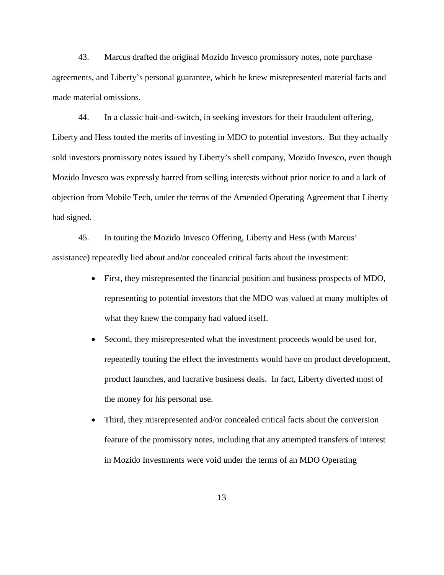43. Marcus drafted the original Mozido Invesco promissory notes, note purchase agreements, and Liberty's personal guarantee, which he knew misrepresented material facts and made material omissions.

44. In a classic bait-and-switch, in seeking investors for their fraudulent offering, Liberty and Hess touted the merits of investing in MDO to potential investors. But they actually sold investors promissory notes issued by Liberty's shell company, Mozido Invesco, even though Mozido Invesco was expressly barred from selling interests without prior notice to and a lack of objection from Mobile Tech, under the terms of the Amended Operating Agreement that Liberty had signed.

45. In touting the Mozido Invesco Offering, Liberty and Hess (with Marcus' assistance) repeatedly lied about and/or concealed critical facts about the investment:

- First, they misrepresented the financial position and business prospects of MDO, representing to potential investors that the MDO was valued at many multiples of what they knew the company had valued itself.
- Second, they misrepresented what the investment proceeds would be used for, repeatedly touting the effect the investments would have on product development, product launches, and lucrative business deals. In fact, Liberty diverted most of the money for his personal use.
- Third, they misrepresented and/or concealed critical facts about the conversion feature of the promissory notes, including that any attempted transfers of interest in Mozido Investments were void under the terms of an MDO Operating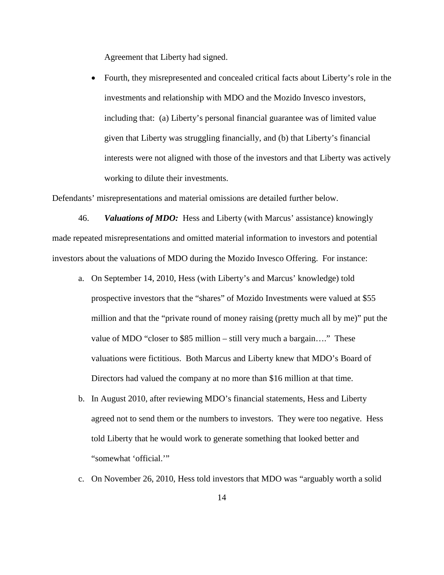Agreement that Liberty had signed.

• Fourth, they misrepresented and concealed critical facts about Liberty's role in the investments and relationship with MDO and the Mozido Invesco investors, including that: (a) Liberty's personal financial guarantee was of limited value given that Liberty was struggling financially, and (b) that Liberty's financial interests were not aligned with those of the investors and that Liberty was actively working to dilute their investments.

Defendants' misrepresentations and material omissions are detailed further below.

46. *Valuations of MDO:*Hess and Liberty (with Marcus' assistance) knowingly made repeated misrepresentations and omitted material information to investors and potential investors about the valuations of MDO during the Mozido Invesco Offering. For instance:

- a. On September 14, 2010, Hess (with Liberty's and Marcus' knowledge) told prospective investors that the "shares" of Mozido Investments were valued at \$55 million and that the "private round of money raising (pretty much all by me)" put the value of MDO "closer to \$85 million – still very much a bargain…." These valuations were fictitious. Both Marcus and Liberty knew that MDO's Board of Directors had valued the company at no more than \$16 million at that time.
- b. In August 2010, after reviewing MDO's financial statements, Hess and Liberty agreed not to send them or the numbers to investors. They were too negative. Hess told Liberty that he would work to generate something that looked better and "somewhat 'official.'"
- c. On November 26, 2010, Hess told investors that MDO was "arguably worth a solid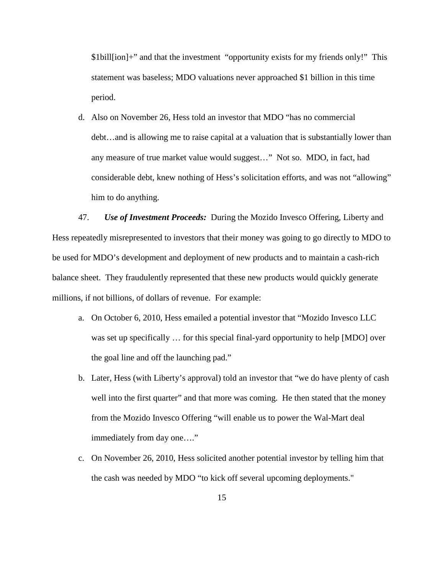\$1bill[ion]+" and that the investment "opportunity exists for my friends only!" This statement was baseless; MDO valuations never approached \$1 billion in this time period.

d. Also on November 26, Hess told an investor that MDO "has no commercial debt…and is allowing me to raise capital at a valuation that is substantially lower than any measure of true market value would suggest…" Not so. MDO, in fact, had considerable debt, knew nothing of Hess's solicitation efforts, and was not "allowing" him to do anything.

47. *Use of Investment Proceeds:*During the Mozido Invesco Offering, Liberty and Hess repeatedly misrepresented to investors that their money was going to go directly to MDO to be used for MDO's development and deployment of new products and to maintain a cash-rich balance sheet. They fraudulently represented that these new products would quickly generate millions, if not billions, of dollars of revenue. For example:

- a. On October 6, 2010, Hess emailed a potential investor that "Mozido Invesco LLC was set up specifically … for this special final-yard opportunity to help [MDO] over the goal line and off the launching pad."
- b. Later, Hess (with Liberty's approval) told an investor that "we do have plenty of cash well into the first quarter" and that more was coming. He then stated that the money from the Mozido Invesco Offering "will enable us to power the Wal-Mart deal immediately from day one…."
- c. On November 26, 2010, Hess solicited another potential investor by telling him that the cash was needed by MDO "to kick off several upcoming deployments."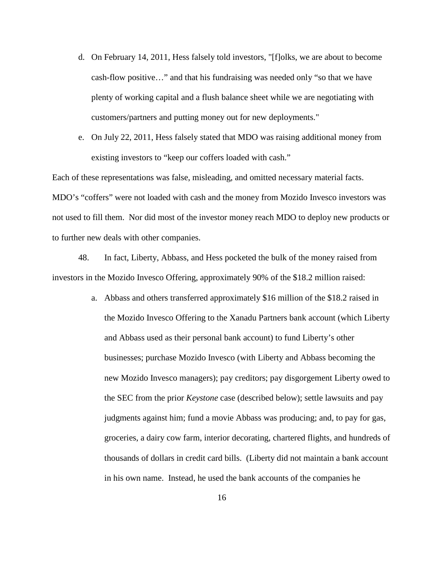- d. On February 14, 2011, Hess falsely told investors, "[f]olks, we are about to become cash-flow positive…" and that his fundraising was needed only "so that we have plenty of working capital and a flush balance sheet while we are negotiating with customers/partners and putting money out for new deployments."
- e. On July 22, 2011, Hess falsely stated that MDO was raising additional money from existing investors to "keep our coffers loaded with cash."

Each of these representations was false, misleading, and omitted necessary material facts. MDO's "coffers" were not loaded with cash and the money from Mozido Invesco investors was not used to fill them. Nor did most of the investor money reach MDO to deploy new products or to further new deals with other companies.

48. In fact, Liberty, Abbass, and Hess pocketed the bulk of the money raised from investors in the Mozido Invesco Offering, approximately 90% of the \$18.2 million raised:

> a. Abbass and others transferred approximately \$16 million of the \$18.2 raised in the Mozido Invesco Offering to the Xanadu Partners bank account (which Liberty and Abbass used as their personal bank account) to fund Liberty's other businesses; purchase Mozido Invesco (with Liberty and Abbass becoming the new Mozido Invesco managers); pay creditors; pay disgorgement Liberty owed to the SEC from the prior *Keystone* case (described below); settle lawsuits and pay judgments against him; fund a movie Abbass was producing; and, to pay for gas, groceries, a dairy cow farm, interior decorating, chartered flights, and hundreds of thousands of dollars in credit card bills. (Liberty did not maintain a bank account in his own name. Instead, he used the bank accounts of the companies he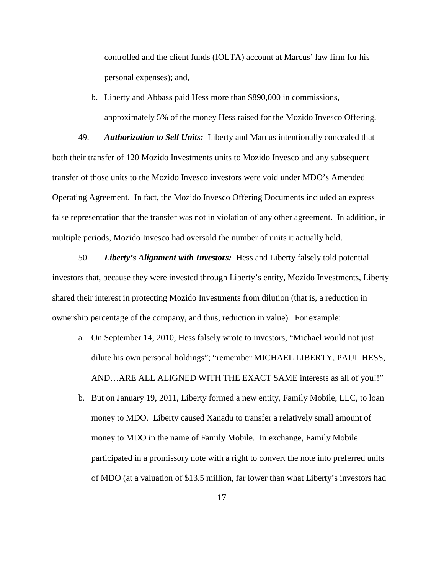controlled and the client funds (IOLTA) account at Marcus' law firm for his personal expenses); and,

b. Liberty and Abbass paid Hess more than \$890,000 in commissions, approximately 5% of the money Hess raised for the Mozido Invesco Offering.

49. *Authorization to Sell Units:*Liberty and Marcus intentionally concealed that both their transfer of 120 Mozido Investments units to Mozido Invesco and any subsequent transfer of those units to the Mozido Invesco investors were void under MDO's Amended Operating Agreement. In fact, the Mozido Invesco Offering Documents included an express false representation that the transfer was not in violation of any other agreement. In addition, in multiple periods, Mozido Invesco had oversold the number of units it actually held.

50. *Liberty's Alignment with Investors:* Hess and Liberty falsely told potential investors that, because they were invested through Liberty's entity, Mozido Investments, Liberty shared their interest in protecting Mozido Investments from dilution (that is, a reduction in ownership percentage of the company, and thus, reduction in value). For example:

- a. On September 14, 2010, Hess falsely wrote to investors, "Michael would not just dilute his own personal holdings"; "remember MICHAEL LIBERTY, PAUL HESS, AND…ARE ALL ALIGNED WITH THE EXACT SAME interests as all of you!!"
- b. But on January 19, 2011, Liberty formed a new entity, Family Mobile, LLC, to loan money to MDO. Liberty caused Xanadu to transfer a relatively small amount of money to MDO in the name of Family Mobile. In exchange, Family Mobile participated in a promissory note with a right to convert the note into preferred units of MDO (at a valuation of \$13.5 million, far lower than what Liberty's investors had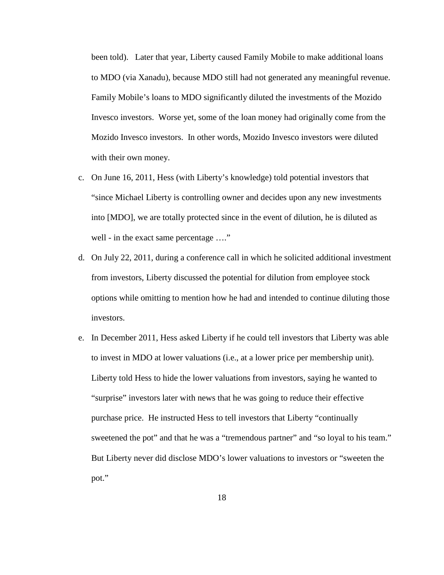been told). Later that year, Liberty caused Family Mobile to make additional loans to MDO (via Xanadu), because MDO still had not generated any meaningful revenue. Family Mobile's loans to MDO significantly diluted the investments of the Mozido Invesco investors. Worse yet, some of the loan money had originally come from the Mozido Invesco investors. In other words, Mozido Invesco investors were diluted with their own money.

- c. On June 16, 2011, Hess (with Liberty's knowledge) told potential investors that "since Michael Liberty is controlling owner and decides upon any new investments into [MDO], we are totally protected since in the event of dilution, he is diluted as well - in the exact same percentage ...."
- d. On July 22, 2011, during a conference call in which he solicited additional investment from investors, Liberty discussed the potential for dilution from employee stock options while omitting to mention how he had and intended to continue diluting those investors.
- e. In December 2011, Hess asked Liberty if he could tell investors that Liberty was able to invest in MDO at lower valuations (i.e., at a lower price per membership unit). Liberty told Hess to hide the lower valuations from investors, saying he wanted to "surprise" investors later with news that he was going to reduce their effective purchase price. He instructed Hess to tell investors that Liberty "continually sweetened the pot" and that he was a "tremendous partner" and "so loyal to his team." But Liberty never did disclose MDO's lower valuations to investors or "sweeten the pot."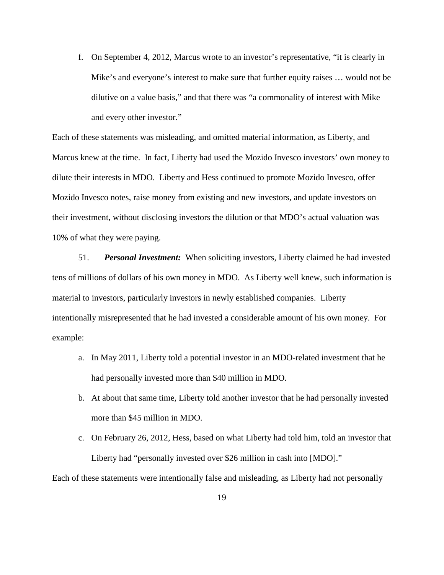f. On September 4, 2012, Marcus wrote to an investor's representative, "it is clearly in Mike's and everyone's interest to make sure that further equity raises … would not be dilutive on a value basis," and that there was "a commonality of interest with Mike and every other investor."

Each of these statements was misleading, and omitted material information, as Liberty, and Marcus knew at the time. In fact, Liberty had used the Mozido Invesco investors' own money to dilute their interests in MDO. Liberty and Hess continued to promote Mozido Invesco, offer Mozido Invesco notes, raise money from existing and new investors, and update investors on their investment, without disclosing investors the dilution or that MDO's actual valuation was 10% of what they were paying.

51. *Personal Investment:*When soliciting investors, Liberty claimed he had invested tens of millions of dollars of his own money in MDO. As Liberty well knew, such information is material to investors, particularly investors in newly established companies. Liberty intentionally misrepresented that he had invested a considerable amount of his own money. For example:

- a. In May 2011, Liberty told a potential investor in an MDO-related investment that he had personally invested more than \$40 million in MDO.
- b. At about that same time, Liberty told another investor that he had personally invested more than \$45 million in MDO.
- c. On February 26, 2012, Hess, based on what Liberty had told him, told an investor that Liberty had "personally invested over \$26 million in cash into [MDO]."

Each of these statements were intentionally false and misleading, as Liberty had not personally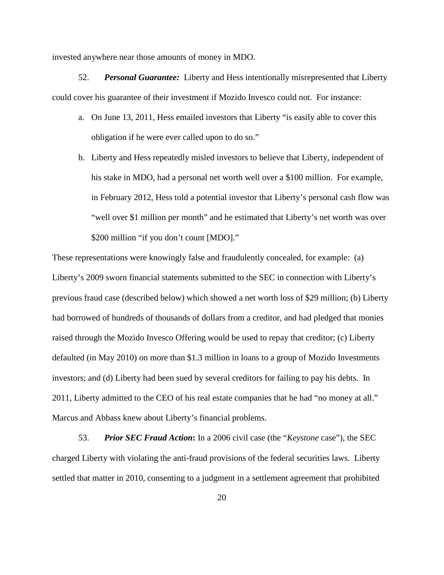invested anywhere near those amounts of money in MDO.

52. *Personal Guarantee:*Liberty and Hess intentionally misrepresented that Liberty could cover his guarantee of their investment if Mozido Invesco could not. For instance:

- a. On June 13, 2011, Hess emailed investors that Liberty "is easily able to cover this obligation if he were ever called upon to do so."
- b. Liberty and Hess repeatedly misled investors to believe that Liberty, independent of his stake in MDO, had a personal net worth well over a \$100 million. For example, in February 2012, Hess told a potential investor that Liberty's personal cash flow was "well over \$1 million per month" and he estimated that Liberty's net worth was over \$200 million "if you don't count [MDO]."

These representations were knowingly false and fraudulently concealed, for example: (a) Liberty's 2009 sworn financial statements submitted to the SEC in connection with Liberty's previous fraud case (described below) which showed a net worth loss of \$29 million; (b) Liberty had borrowed of hundreds of thousands of dollars from a creditor, and had pledged that monies raised through the Mozido Invesco Offering would be used to repay that creditor; (c) Liberty defaulted (in May 2010) on more than \$1.3 million in loans to a group of Mozido Investments investors; and (d) Liberty had been sued by several creditors for failing to pay his debts. In 2011, Liberty admitted to the CEO of his real estate companies that he had "no money at all." Marcus and Abbass knew about Liberty's financial problems.

53. *Prior SEC Fraud Action***:** In a 2006 civil case (the "*Keystone* case"), the SEC charged Liberty with violating the anti-fraud provisions of the federal securities laws. Liberty settled that matter in 2010, consenting to a judgment in a settlement agreement that prohibited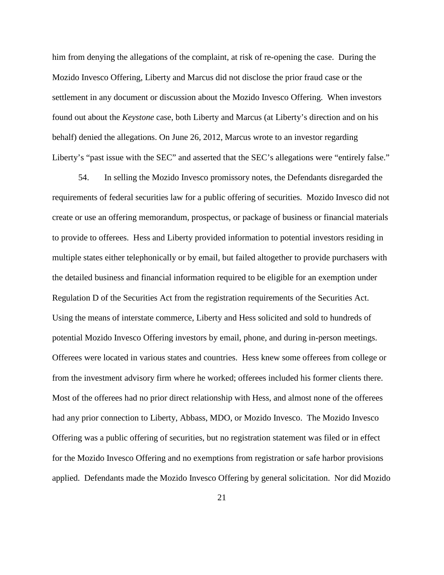him from denying the allegations of the complaint, at risk of re-opening the case. During the Mozido Invesco Offering, Liberty and Marcus did not disclose the prior fraud case or the settlement in any document or discussion about the Mozido Invesco Offering. When investors found out about the *Keystone* case, both Liberty and Marcus (at Liberty's direction and on his behalf) denied the allegations. On June 26, 2012, Marcus wrote to an investor regarding Liberty's "past issue with the SEC" and asserted that the SEC's allegations were "entirely false."

54. In selling the Mozido Invesco promissory notes, the Defendants disregarded the requirements of federal securities law for a public offering of securities. Mozido Invesco did not create or use an offering memorandum, prospectus, or package of business or financial materials to provide to offerees. Hess and Liberty provided information to potential investors residing in multiple states either telephonically or by email, but failed altogether to provide purchasers with the detailed business and financial information required to be eligible for an exemption under Regulation D of the Securities Act from the registration requirements of the Securities Act. Using the means of interstate commerce, Liberty and Hess solicited and sold to hundreds of potential Mozido Invesco Offering investors by email, phone, and during in-person meetings. Offerees were located in various states and countries. Hess knew some offerees from college or from the investment advisory firm where he worked; offerees included his former clients there. Most of the offerees had no prior direct relationship with Hess, and almost none of the offerees had any prior connection to Liberty, Abbass, MDO, or Mozido Invesco. The Mozido Invesco Offering was a public offering of securities, but no registration statement was filed or in effect for the Mozido Invesco Offering and no exemptions from registration or safe harbor provisions applied. Defendants made the Mozido Invesco Offering by general solicitation. Nor did Mozido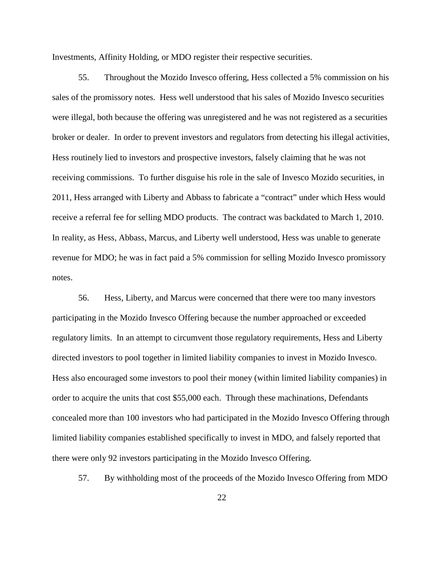Investments, Affinity Holding, or MDO register their respective securities.

55. Throughout the Mozido Invesco offering, Hess collected a 5% commission on his sales of the promissory notes. Hess well understood that his sales of Mozido Invesco securities were illegal, both because the offering was unregistered and he was not registered as a securities broker or dealer. In order to prevent investors and regulators from detecting his illegal activities, Hess routinely lied to investors and prospective investors, falsely claiming that he was not receiving commissions. To further disguise his role in the sale of Invesco Mozido securities, in 2011, Hess arranged with Liberty and Abbass to fabricate a "contract" under which Hess would receive a referral fee for selling MDO products. The contract was backdated to March 1, 2010. In reality, as Hess, Abbass, Marcus, and Liberty well understood, Hess was unable to generate revenue for MDO; he was in fact paid a 5% commission for selling Mozido Invesco promissory notes.

56. Hess, Liberty, and Marcus were concerned that there were too many investors participating in the Mozido Invesco Offering because the number approached or exceeded regulatory limits. In an attempt to circumvent those regulatory requirements, Hess and Liberty directed investors to pool together in limited liability companies to invest in Mozido Invesco. Hess also encouraged some investors to pool their money (within limited liability companies) in order to acquire the units that cost \$55,000 each. Through these machinations, Defendants concealed more than 100 investors who had participated in the Mozido Invesco Offering through limited liability companies established specifically to invest in MDO, and falsely reported that there were only 92 investors participating in the Mozido Invesco Offering.

57. By withholding most of the proceeds of the Mozido Invesco Offering from MDO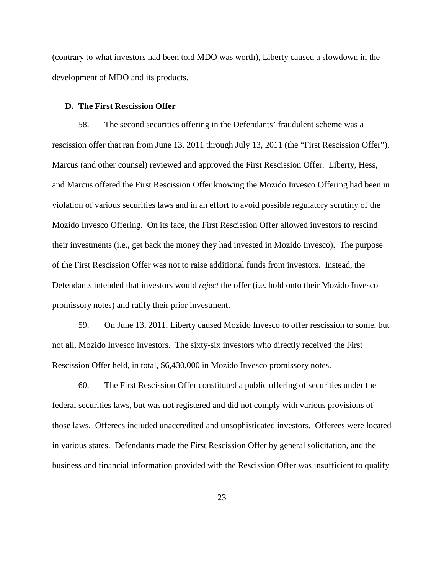(contrary to what investors had been told MDO was worth), Liberty caused a slowdown in the development of MDO and its products.

#### **D. The First Rescission Offer**

58. The second securities offering in the Defendants' fraudulent scheme was a rescission offer that ran from June 13, 2011 through July 13, 2011 (the "First Rescission Offer"). Marcus (and other counsel) reviewed and approved the First Rescission Offer. Liberty, Hess, and Marcus offered the First Rescission Offer knowing the Mozido Invesco Offering had been in violation of various securities laws and in an effort to avoid possible regulatory scrutiny of the Mozido Invesco Offering. On its face, the First Rescission Offer allowed investors to rescind their investments (i.e., get back the money they had invested in Mozido Invesco). The purpose of the First Rescission Offer was not to raise additional funds from investors. Instead, the Defendants intended that investors would *reject* the offer (i.e. hold onto their Mozido Invesco promissory notes) and ratify their prior investment.

59. On June 13, 2011, Liberty caused Mozido Invesco to offer rescission to some, but not all, Mozido Invesco investors. The sixty-six investors who directly received the First Rescission Offer held, in total, \$6,430,000 in Mozido Invesco promissory notes.

60. The First Rescission Offer constituted a public offering of securities under the federal securities laws, but was not registered and did not comply with various provisions of those laws. Offerees included unaccredited and unsophisticated investors. Offerees were located in various states. Defendants made the First Rescission Offer by general solicitation, and the business and financial information provided with the Rescission Offer was insufficient to qualify

23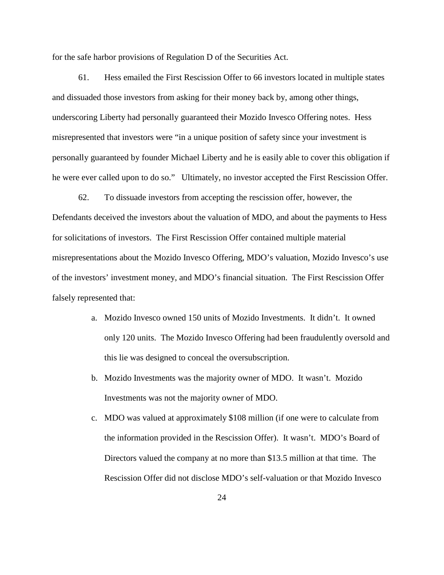for the safe harbor provisions of Regulation D of the Securities Act.

61. Hess emailed the First Rescission Offer to 66 investors located in multiple states and dissuaded those investors from asking for their money back by, among other things, underscoring Liberty had personally guaranteed their Mozido Invesco Offering notes. Hess misrepresented that investors were "in a unique position of safety since your investment is personally guaranteed by founder Michael Liberty and he is easily able to cover this obligation if he were ever called upon to do so." Ultimately, no investor accepted the First Rescission Offer.

62. To dissuade investors from accepting the rescission offer, however, the Defendants deceived the investors about the valuation of MDO, and about the payments to Hess for solicitations of investors. The First Rescission Offer contained multiple material misrepresentations about the Mozido Invesco Offering, MDO's valuation, Mozido Invesco's use of the investors' investment money, and MDO's financial situation. The First Rescission Offer falsely represented that:

- a. Mozido Invesco owned 150 units of Mozido Investments. It didn't. It owned only 120 units. The Mozido Invesco Offering had been fraudulently oversold and this lie was designed to conceal the oversubscription.
- b. Mozido Investments was the majority owner of MDO. It wasn't. Mozido Investments was not the majority owner of MDO.
- c. MDO was valued at approximately \$108 million (if one were to calculate from the information provided in the Rescission Offer). It wasn't. MDO's Board of Directors valued the company at no more than \$13.5 million at that time. The Rescission Offer did not disclose MDO's self-valuation or that Mozido Invesco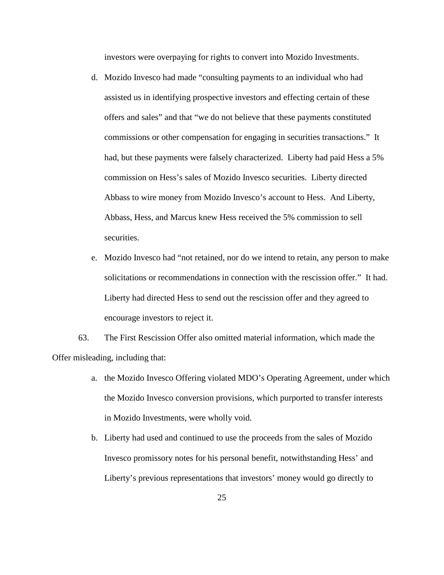investors were overpaying for rights to convert into Mozido Investments.

- d. Mozido Invesco had made "consulting payments to an individual who had assisted us in identifying prospective investors and effecting certain of these offers and sales" and that "we do not believe that these payments constituted commissions or other compensation for engaging in securities transactions." It had, but these payments were falsely characterized. Liberty had paid Hess a 5% commission on Hess's sales of Mozido Invesco securities. Liberty directed Abbass to wire money from Mozido Invesco's account to Hess. And Liberty, Abbass, Hess, and Marcus knew Hess received the 5% commission to sell securities.
- e. Mozido Invesco had "not retained, nor do we intend to retain, any person to make solicitations or recommendations in connection with the rescission offer." It had. Liberty had directed Hess to send out the rescission offer and they agreed to encourage investors to reject it.

63. The First Rescission Offer also omitted material information, which made the Offer misleading, including that:

- a. the Mozido Invesco Offering violated MDO's Operating Agreement, under which the Mozido Invesco conversion provisions, which purported to transfer interests in Mozido Investments, were wholly void.
- b. Liberty had used and continued to use the proceeds from the sales of Mozido Invesco promissory notes for his personal benefit, notwithstanding Hess' and Liberty's previous representations that investors' money would go directly to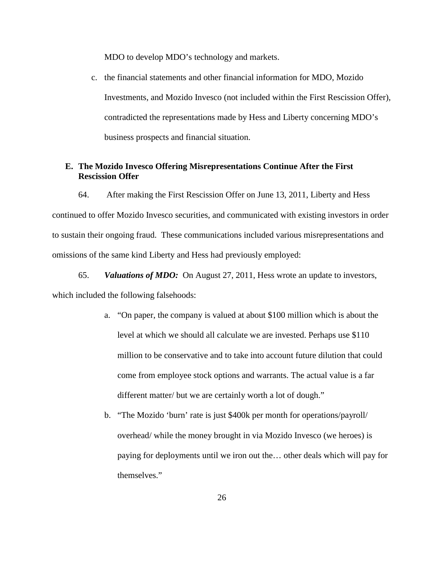MDO to develop MDO's technology and markets.

c. the financial statements and other financial information for MDO, Mozido Investments, and Mozido Invesco (not included within the First Rescission Offer), contradicted the representations made by Hess and Liberty concerning MDO's business prospects and financial situation.

### **E. The Mozido Invesco Offering Misrepresentations Continue After the First Rescission Offer**

64. After making the First Rescission Offer on June 13, 2011, Liberty and Hess continued to offer Mozido Invesco securities, and communicated with existing investors in order to sustain their ongoing fraud. These communications included various misrepresentations and omissions of the same kind Liberty and Hess had previously employed:

65. *Valuations of MDO:*On August 27, 2011, Hess wrote an update to investors, which included the following falsehoods:

- a. "On paper, the company is valued at about \$100 million which is about the level at which we should all calculate we are invested. Perhaps use \$110 million to be conservative and to take into account future dilution that could come from employee stock options and warrants. The actual value is a far different matter/ but we are certainly worth a lot of dough."
- b. "The Mozido 'burn' rate is just \$400k per month for operations/payroll/ overhead/ while the money brought in via Mozido Invesco (we heroes) is paying for deployments until we iron out the… other deals which will pay for themselves."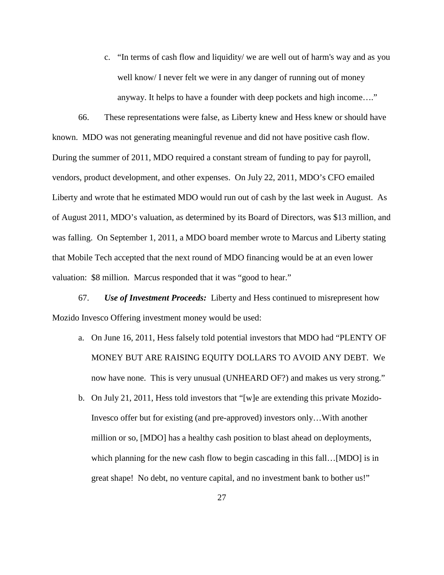c. "In terms of cash flow and liquidity/ we are well out of harm's way and as you well know/ I never felt we were in any danger of running out of money anyway. It helps to have a founder with deep pockets and high income…."

66. These representations were false, as Liberty knew and Hess knew or should have known. MDO was not generating meaningful revenue and did not have positive cash flow. During the summer of 2011, MDO required a constant stream of funding to pay for payroll, vendors, product development, and other expenses. On July 22, 2011, MDO's CFO emailed Liberty and wrote that he estimated MDO would run out of cash by the last week in August. As of August 2011, MDO's valuation, as determined by its Board of Directors, was \$13 million, and was falling. On September 1, 2011, a MDO board member wrote to Marcus and Liberty stating that Mobile Tech accepted that the next round of MDO financing would be at an even lower valuation: \$8 million. Marcus responded that it was "good to hear."

67. *Use of Investment Proceeds:* Liberty and Hess continued to misrepresent how Mozido Invesco Offering investment money would be used:

- a. On June 16, 2011, Hess falsely told potential investors that MDO had "PLENTY OF MONEY BUT ARE RAISING EQUITY DOLLARS TO AVOID ANY DEBT. We now have none. This is very unusual (UNHEARD OF?) and makes us very strong."
- b. On July 21, 2011, Hess told investors that "[w]e are extending this private Mozido-Invesco offer but for existing (and pre-approved) investors only…With another million or so, [MDO] has a healthy cash position to blast ahead on deployments, which planning for the new cash flow to begin cascading in this fall...[MDO] is in great shape! No debt, no venture capital, and no investment bank to bother us!"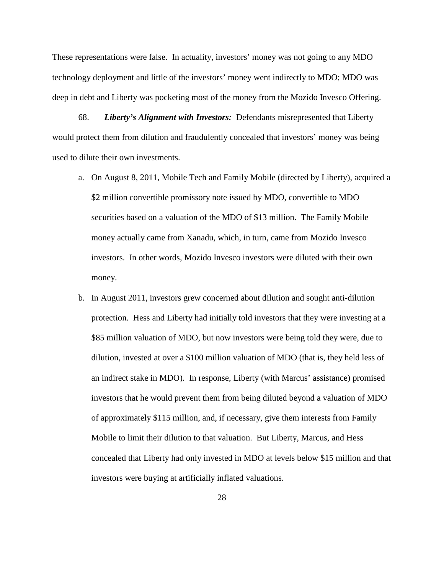These representations were false. In actuality, investors' money was not going to any MDO technology deployment and little of the investors' money went indirectly to MDO; MDO was deep in debt and Liberty was pocketing most of the money from the Mozido Invesco Offering.

68. *Liberty's Alignment with Investors:*Defendants misrepresented that Liberty would protect them from dilution and fraudulently concealed that investors' money was being used to dilute their own investments.

- a. On August 8, 2011, Mobile Tech and Family Mobile (directed by Liberty), acquired a \$2 million convertible promissory note issued by MDO, convertible to MDO securities based on a valuation of the MDO of \$13 million. The Family Mobile money actually came from Xanadu, which, in turn, came from Mozido Invesco investors. In other words, Mozido Invesco investors were diluted with their own money.
- b. In August 2011, investors grew concerned about dilution and sought anti-dilution protection. Hess and Liberty had initially told investors that they were investing at a \$85 million valuation of MDO, but now investors were being told they were, due to dilution, invested at over a \$100 million valuation of MDO (that is, they held less of an indirect stake in MDO). In response, Liberty (with Marcus' assistance) promised investors that he would prevent them from being diluted beyond a valuation of MDO of approximately \$115 million, and, if necessary, give them interests from Family Mobile to limit their dilution to that valuation. But Liberty, Marcus, and Hess concealed that Liberty had only invested in MDO at levels below \$15 million and that investors were buying at artificially inflated valuations.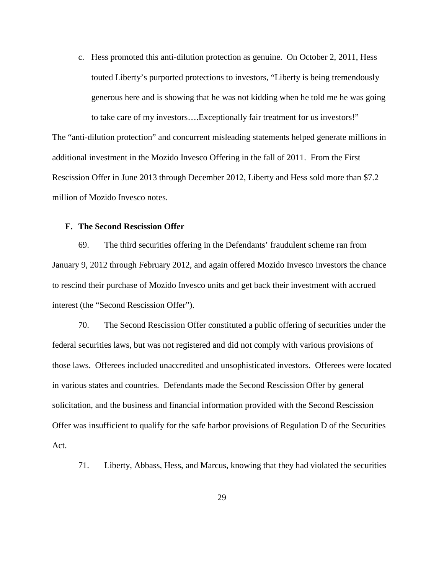c. Hess promoted this anti-dilution protection as genuine. On October 2, 2011, Hess touted Liberty's purported protections to investors, "Liberty is being tremendously generous here and is showing that he was not kidding when he told me he was going to take care of my investors….Exceptionally fair treatment for us investors!"

The "anti-dilution protection" and concurrent misleading statements helped generate millions in additional investment in the Mozido Invesco Offering in the fall of 2011. From the First Rescission Offer in June 2013 through December 2012, Liberty and Hess sold more than \$7.2 million of Mozido Invesco notes.

### **F. The Second Rescission Offer**

69. The third securities offering in the Defendants' fraudulent scheme ran from January 9, 2012 through February 2012, and again offered Mozido Invesco investors the chance to rescind their purchase of Mozido Invesco units and get back their investment with accrued interest (the "Second Rescission Offer").

70. The Second Rescission Offer constituted a public offering of securities under the federal securities laws, but was not registered and did not comply with various provisions of those laws. Offerees included unaccredited and unsophisticated investors. Offerees were located in various states and countries. Defendants made the Second Rescission Offer by general solicitation, and the business and financial information provided with the Second Rescission Offer was insufficient to qualify for the safe harbor provisions of Regulation D of the Securities Act.

71. Liberty, Abbass, Hess, and Marcus, knowing that they had violated the securities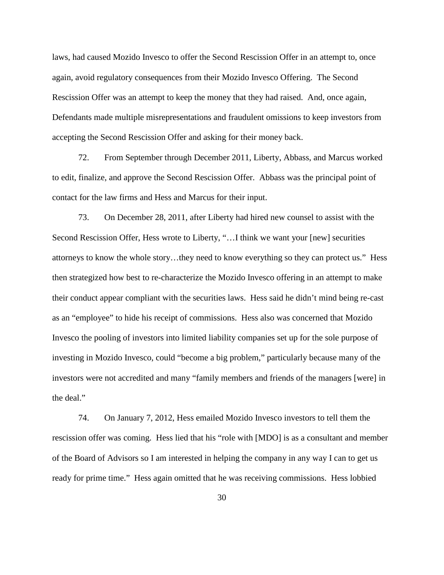laws, had caused Mozido Invesco to offer the Second Rescission Offer in an attempt to, once again, avoid regulatory consequences from their Mozido Invesco Offering. The Second Rescission Offer was an attempt to keep the money that they had raised. And, once again, Defendants made multiple misrepresentations and fraudulent omissions to keep investors from accepting the Second Rescission Offer and asking for their money back.

72. From September through December 2011, Liberty, Abbass, and Marcus worked to edit, finalize, and approve the Second Rescission Offer. Abbass was the principal point of contact for the law firms and Hess and Marcus for their input.

73. On December 28, 2011, after Liberty had hired new counsel to assist with the Second Rescission Offer, Hess wrote to Liberty, "…I think we want your [new] securities attorneys to know the whole story…they need to know everything so they can protect us." Hess then strategized how best to re-characterize the Mozido Invesco offering in an attempt to make their conduct appear compliant with the securities laws. Hess said he didn't mind being re-cast as an "employee" to hide his receipt of commissions. Hess also was concerned that Mozido Invesco the pooling of investors into limited liability companies set up for the sole purpose of investing in Mozido Invesco, could "become a big problem," particularly because many of the investors were not accredited and many "family members and friends of the managers [were] in the deal."

74. On January 7, 2012, Hess emailed Mozido Invesco investors to tell them the rescission offer was coming. Hess lied that his "role with [MDO] is as a consultant and member of the Board of Advisors so I am interested in helping the company in any way I can to get us ready for prime time." Hess again omitted that he was receiving commissions. Hess lobbied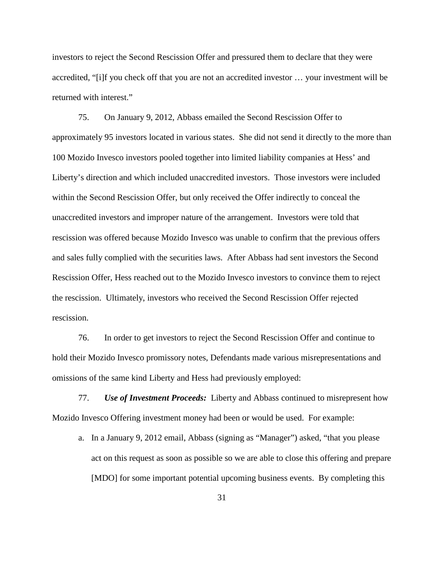investors to reject the Second Rescission Offer and pressured them to declare that they were accredited, "[i]f you check off that you are not an accredited investor … your investment will be returned with interest."

75. On January 9, 2012, Abbass emailed the Second Rescission Offer to approximately 95 investors located in various states. She did not send it directly to the more than 100 Mozido Invesco investors pooled together into limited liability companies at Hess' and Liberty's direction and which included unaccredited investors. Those investors were included within the Second Rescission Offer, but only received the Offer indirectly to conceal the unaccredited investors and improper nature of the arrangement. Investors were told that rescission was offered because Mozido Invesco was unable to confirm that the previous offers and sales fully complied with the securities laws. After Abbass had sent investors the Second Rescission Offer, Hess reached out to the Mozido Invesco investors to convince them to reject the rescission. Ultimately, investors who received the Second Rescission Offer rejected rescission.

76. In order to get investors to reject the Second Rescission Offer and continue to hold their Mozido Invesco promissory notes, Defendants made various misrepresentations and omissions of the same kind Liberty and Hess had previously employed:

77. *Use of Investment Proceeds:* Liberty and Abbass continued to misrepresent how Mozido Invesco Offering investment money had been or would be used. For example:

a. In a January 9, 2012 email, Abbass (signing as "Manager") asked, "that you please act on this request as soon as possible so we are able to close this offering and prepare [MDO] for some important potential upcoming business events. By completing this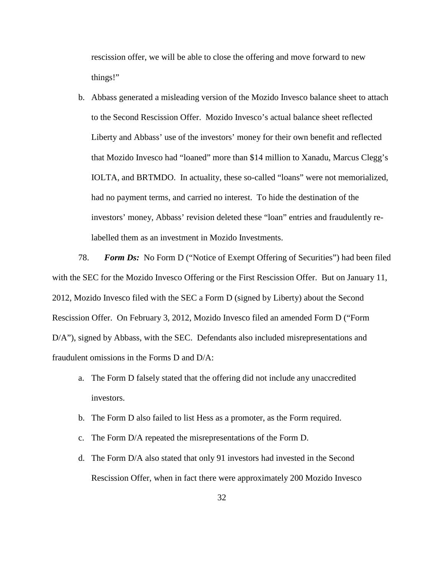rescission offer, we will be able to close the offering and move forward to new things!"

b. Abbass generated a misleading version of the Mozido Invesco balance sheet to attach to the Second Rescission Offer. Mozido Invesco's actual balance sheet reflected Liberty and Abbass' use of the investors' money for their own benefit and reflected that Mozido Invesco had "loaned" more than \$14 million to Xanadu, Marcus Clegg's IOLTA, and BRTMDO. In actuality, these so-called "loans" were not memorialized, had no payment terms, and carried no interest. To hide the destination of the investors' money, Abbass' revision deleted these "loan" entries and fraudulently relabelled them as an investment in Mozido Investments.

78. *Form Ds:* No Form D ("Notice of Exempt Offering of Securities") had been filed with the SEC for the Mozido Invesco Offering or the First Rescission Offer. But on January 11, 2012, Mozido Invesco filed with the SEC a Form D (signed by Liberty) about the Second Rescission Offer. On February 3, 2012, Mozido Invesco filed an amended Form D ("Form D/A"), signed by Abbass, with the SEC. Defendants also included misrepresentations and fraudulent omissions in the Forms D and D/A:

- a. The Form D falsely stated that the offering did not include any unaccredited investors.
- b. The Form D also failed to list Hess as a promoter, as the Form required.
- c. The Form D/A repeated the misrepresentations of the Form D.
- d. The Form D/A also stated that only 91 investors had invested in the Second Rescission Offer, when in fact there were approximately 200 Mozido Invesco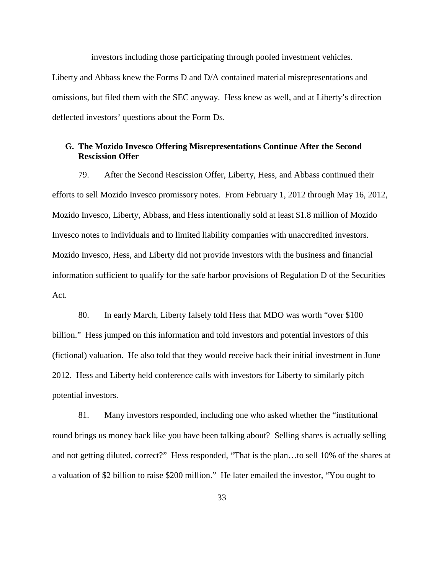investors including those participating through pooled investment vehicles. Liberty and Abbass knew the Forms D and D/A contained material misrepresentations and omissions, but filed them with the SEC anyway. Hess knew as well, and at Liberty's direction deflected investors' questions about the Form Ds.

## **G. The Mozido Invesco Offering Misrepresentations Continue After the Second Rescission Offer**

79. After the Second Rescission Offer, Liberty, Hess, and Abbass continued their efforts to sell Mozido Invesco promissory notes. From February 1, 2012 through May 16, 2012, Mozido Invesco, Liberty, Abbass, and Hess intentionally sold at least \$1.8 million of Mozido Invesco notes to individuals and to limited liability companies with unaccredited investors. Mozido Invesco, Hess, and Liberty did not provide investors with the business and financial information sufficient to qualify for the safe harbor provisions of Regulation D of the Securities Act.

80. In early March, Liberty falsely told Hess that MDO was worth "over \$100 billion." Hess jumped on this information and told investors and potential investors of this (fictional) valuation. He also told that they would receive back their initial investment in June 2012. Hess and Liberty held conference calls with investors for Liberty to similarly pitch potential investors.

81. Many investors responded, including one who asked whether the "institutional round brings us money back like you have been talking about? Selling shares is actually selling and not getting diluted, correct?" Hess responded, "That is the plan…to sell 10% of the shares at a valuation of \$2 billion to raise \$200 million." He later emailed the investor, "You ought to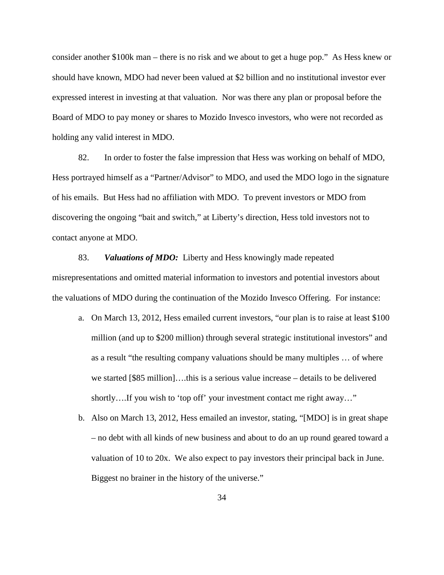consider another \$100k man – there is no risk and we about to get a huge pop." As Hess knew or should have known, MDO had never been valued at \$2 billion and no institutional investor ever expressed interest in investing at that valuation. Nor was there any plan or proposal before the Board of MDO to pay money or shares to Mozido Invesco investors, who were not recorded as holding any valid interest in MDO.

82. In order to foster the false impression that Hess was working on behalf of MDO, Hess portrayed himself as a "Partner/Advisor" to MDO, and used the MDO logo in the signature of his emails. But Hess had no affiliation with MDO. To prevent investors or MDO from discovering the ongoing "bait and switch," at Liberty's direction, Hess told investors not to contact anyone at MDO.

83. *Valuations of MDO:* Liberty and Hess knowingly made repeated misrepresentations and omitted material information to investors and potential investors about the valuations of MDO during the continuation of the Mozido Invesco Offering. For instance:

- a. On March 13, 2012, Hess emailed current investors, "our plan is to raise at least \$100 million (and up to \$200 million) through several strategic institutional investors" and as a result "the resulting company valuations should be many multiples … of where we started [\$85 million]….this is a serious value increase – details to be delivered shortly….If you wish to 'top off' your investment contact me right away…"
- b. Also on March 13, 2012, Hess emailed an investor, stating, "[MDO] is in great shape – no debt with all kinds of new business and about to do an up round geared toward a valuation of 10 to 20x. We also expect to pay investors their principal back in June. Biggest no brainer in the history of the universe."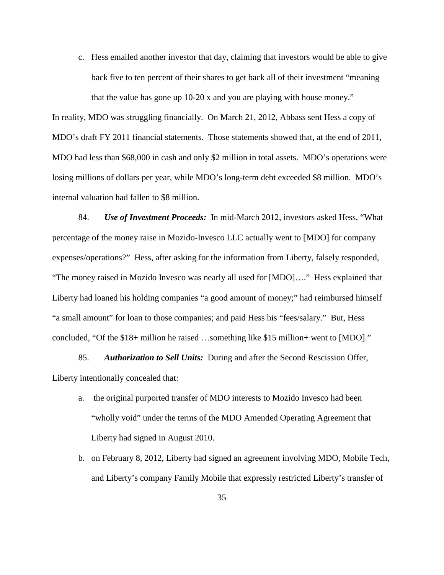c. Hess emailed another investor that day, claiming that investors would be able to give back five to ten percent of their shares to get back all of their investment "meaning that the value has gone up 10-20 x and you are playing with house money."

In reality, MDO was struggling financially. On March 21, 2012, Abbass sent Hess a copy of MDO's draft FY 2011 financial statements. Those statements showed that, at the end of 2011, MDO had less than \$68,000 in cash and only \$2 million in total assets. MDO's operations were losing millions of dollars per year, while MDO's long-term debt exceeded \$8 million. MDO's internal valuation had fallen to \$8 million.

84. *Use of Investment Proceeds:* In mid-March 2012, investors asked Hess, "What percentage of the money raise in Mozido-Invesco LLC actually went to [MDO] for company expenses/operations?" Hess, after asking for the information from Liberty, falsely responded, "The money raised in Mozido Invesco was nearly all used for [MDO]…." Hess explained that Liberty had loaned his holding companies "a good amount of money;" had reimbursed himself "a small amount" for loan to those companies; and paid Hess his "fees/salary." But, Hess concluded, "Of the \$18+ million he raised …something like \$15 million+ went to [MDO]."

85. *Authorization to Sell Units:*During and after the Second Rescission Offer, Liberty intentionally concealed that:

- a. the original purported transfer of MDO interests to Mozido Invesco had been "wholly void" under the terms of the MDO Amended Operating Agreement that Liberty had signed in August 2010.
- b. on February 8, 2012, Liberty had signed an agreement involving MDO, Mobile Tech, and Liberty's company Family Mobile that expressly restricted Liberty's transfer of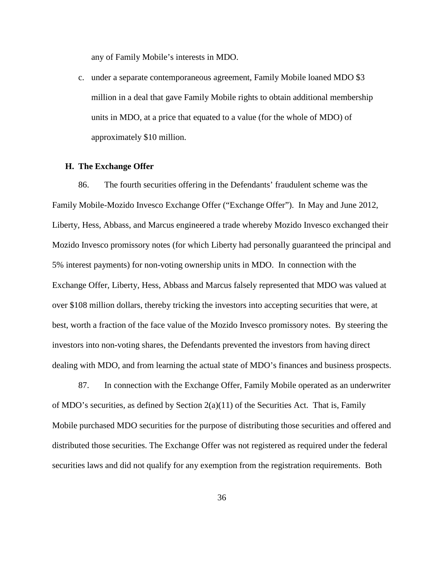any of Family Mobile's interests in MDO.

c. under a separate contemporaneous agreement, Family Mobile loaned MDO \$3 million in a deal that gave Family Mobile rights to obtain additional membership units in MDO, at a price that equated to a value (for the whole of MDO) of approximately \$10 million.

### **H. The Exchange Offer**

86. The fourth securities offering in the Defendants' fraudulent scheme was the Family Mobile-Mozido Invesco Exchange Offer ("Exchange Offer"). In May and June 2012, Liberty, Hess, Abbass, and Marcus engineered a trade whereby Mozido Invesco exchanged their Mozido Invesco promissory notes (for which Liberty had personally guaranteed the principal and 5% interest payments) for non-voting ownership units in MDO. In connection with the Exchange Offer, Liberty, Hess, Abbass and Marcus falsely represented that MDO was valued at over \$108 million dollars, thereby tricking the investors into accepting securities that were, at best, worth a fraction of the face value of the Mozido Invesco promissory notes. By steering the investors into non-voting shares, the Defendants prevented the investors from having direct dealing with MDO, and from learning the actual state of MDO's finances and business prospects.

87. In connection with the Exchange Offer, Family Mobile operated as an underwriter of MDO's securities, as defined by Section 2(a)(11) of the Securities Act. That is, Family Mobile purchased MDO securities for the purpose of distributing those securities and offered and distributed those securities. The Exchange Offer was not registered as required under the federal securities laws and did not qualify for any exemption from the registration requirements. Both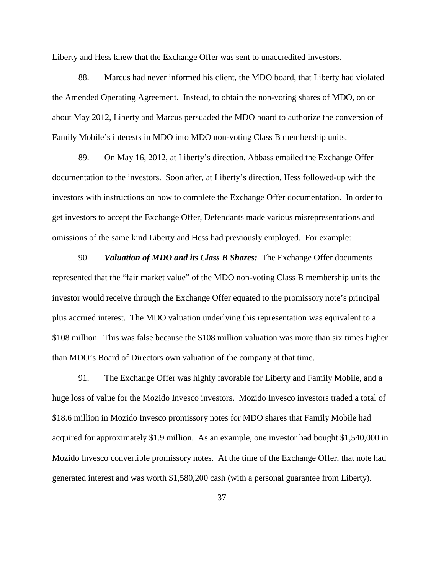Liberty and Hess knew that the Exchange Offer was sent to unaccredited investors.

88. Marcus had never informed his client, the MDO board, that Liberty had violated the Amended Operating Agreement. Instead, to obtain the non-voting shares of MDO, on or about May 2012, Liberty and Marcus persuaded the MDO board to authorize the conversion of Family Mobile's interests in MDO into MDO non-voting Class B membership units.

89. On May 16, 2012, at Liberty's direction, Abbass emailed the Exchange Offer documentation to the investors. Soon after, at Liberty's direction, Hess followed-up with the investors with instructions on how to complete the Exchange Offer documentation. In order to get investors to accept the Exchange Offer, Defendants made various misrepresentations and omissions of the same kind Liberty and Hess had previously employed. For example:

90. *Valuation of MDO and its Class B Shares:*The Exchange Offer documents represented that the "fair market value" of the MDO non-voting Class B membership units the investor would receive through the Exchange Offer equated to the promissory note's principal plus accrued interest. The MDO valuation underlying this representation was equivalent to a \$108 million. This was false because the \$108 million valuation was more than six times higher than MDO's Board of Directors own valuation of the company at that time.

91. The Exchange Offer was highly favorable for Liberty and Family Mobile, and a huge loss of value for the Mozido Invesco investors. Mozido Invesco investors traded a total of \$18.6 million in Mozido Invesco promissory notes for MDO shares that Family Mobile had acquired for approximately \$1.9 million. As an example, one investor had bought \$1,540,000 in Mozido Invesco convertible promissory notes. At the time of the Exchange Offer, that note had generated interest and was worth \$1,580,200 cash (with a personal guarantee from Liberty).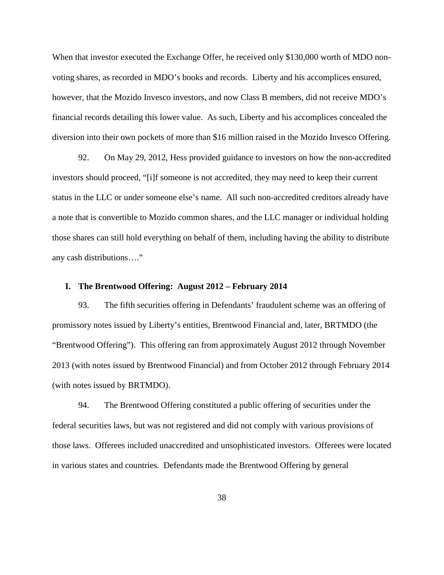When that investor executed the Exchange Offer, he received only \$130,000 worth of MDO nonvoting shares, as recorded in MDO's books and records. Liberty and his accomplices ensured, however, that the Mozido Invesco investors, and now Class B members, did not receive MDO's financial records detailing this lower value. As such, Liberty and his accomplices concealed the diversion into their own pockets of more than \$16 million raised in the Mozido Invesco Offering.

92. On May 29, 2012, Hess provided guidance to investors on how the non-accredited investors should proceed, "[i]f someone is not accredited, they may need to keep their current status in the LLC or under someone else's name. All such non-accredited creditors already have a note that is convertible to Mozido common shares, and the LLC manager or individual holding those shares can still hold everything on behalf of them, including having the ability to distribute any cash distributions…."

### **I. The Brentwood Offering: August 2012 – February 2014**

93. The fifth securities offering in Defendants' fraudulent scheme was an offering of promissory notes issued by Liberty's entities, Brentwood Financial and, later, BRTMDO (the "Brentwood Offering"). This offering ran from approximately August 2012 through November 2013 (with notes issued by Brentwood Financial) and from October 2012 through February 2014 (with notes issued by BRTMDO).

94. The Brentwood Offering constituted a public offering of securities under the federal securities laws, but was not registered and did not comply with various provisions of those laws. Offerees included unaccredited and unsophisticated investors. Offerees were located in various states and countries. Defendants made the Brentwood Offering by general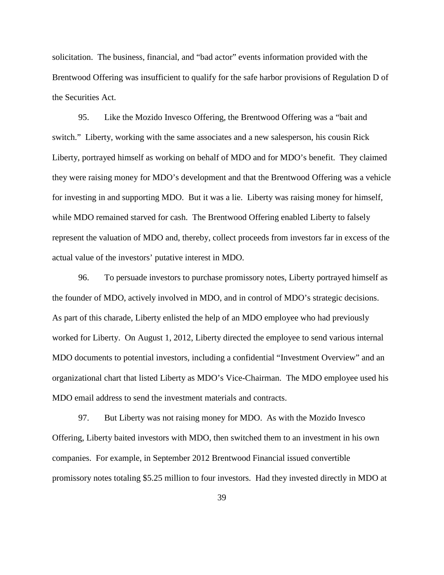solicitation. The business, financial, and "bad actor" events information provided with the Brentwood Offering was insufficient to qualify for the safe harbor provisions of Regulation D of the Securities Act.

95. Like the Mozido Invesco Offering, the Brentwood Offering was a "bait and switch." Liberty, working with the same associates and a new salesperson, his cousin Rick Liberty, portrayed himself as working on behalf of MDO and for MDO's benefit. They claimed they were raising money for MDO's development and that the Brentwood Offering was a vehicle for investing in and supporting MDO. But it was a lie. Liberty was raising money for himself, while MDO remained starved for cash. The Brentwood Offering enabled Liberty to falsely represent the valuation of MDO and, thereby, collect proceeds from investors far in excess of the actual value of the investors' putative interest in MDO.

96. To persuade investors to purchase promissory notes, Liberty portrayed himself as the founder of MDO, actively involved in MDO, and in control of MDO's strategic decisions. As part of this charade, Liberty enlisted the help of an MDO employee who had previously worked for Liberty. On August 1, 2012, Liberty directed the employee to send various internal MDO documents to potential investors, including a confidential "Investment Overview" and an organizational chart that listed Liberty as MDO's Vice-Chairman. The MDO employee used his MDO email address to send the investment materials and contracts.

97. But Liberty was not raising money for MDO. As with the Mozido Invesco Offering, Liberty baited investors with MDO, then switched them to an investment in his own companies. For example, in September 2012 Brentwood Financial issued convertible promissory notes totaling \$5.25 million to four investors. Had they invested directly in MDO at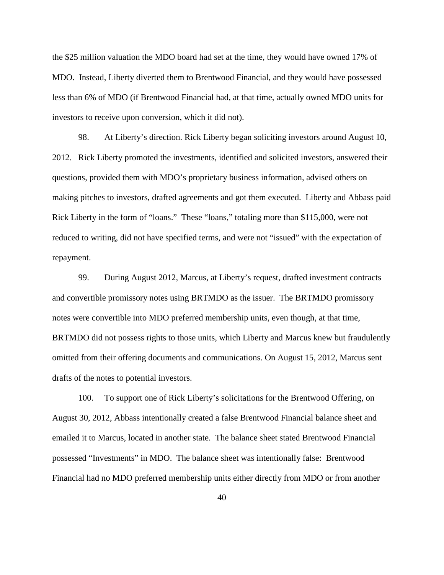the \$25 million valuation the MDO board had set at the time, they would have owned 17% of MDO. Instead, Liberty diverted them to Brentwood Financial, and they would have possessed less than 6% of MDO (if Brentwood Financial had, at that time, actually owned MDO units for investors to receive upon conversion, which it did not).

98. At Liberty's direction. Rick Liberty began soliciting investors around August 10, 2012. Rick Liberty promoted the investments, identified and solicited investors, answered their questions, provided them with MDO's proprietary business information, advised others on making pitches to investors, drafted agreements and got them executed. Liberty and Abbass paid Rick Liberty in the form of "loans." These "loans," totaling more than \$115,000, were not reduced to writing, did not have specified terms, and were not "issued" with the expectation of repayment.

99. During August 2012, Marcus, at Liberty's request, drafted investment contracts and convertible promissory notes using BRTMDO as the issuer. The BRTMDO promissory notes were convertible into MDO preferred membership units, even though, at that time, BRTMDO did not possess rights to those units, which Liberty and Marcus knew but fraudulently omitted from their offering documents and communications. On August 15, 2012, Marcus sent drafts of the notes to potential investors.

100. To support one of Rick Liberty's solicitations for the Brentwood Offering, on August 30, 2012, Abbass intentionally created a false Brentwood Financial balance sheet and emailed it to Marcus, located in another state. The balance sheet stated Brentwood Financial possessed "Investments" in MDO. The balance sheet was intentionally false: Brentwood Financial had no MDO preferred membership units either directly from MDO or from another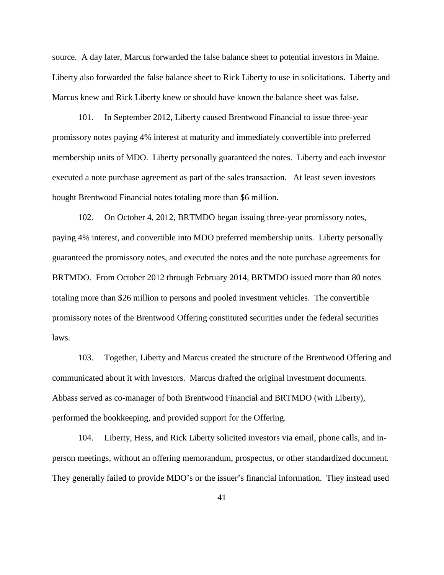source. A day later, Marcus forwarded the false balance sheet to potential investors in Maine. Liberty also forwarded the false balance sheet to Rick Liberty to use in solicitations. Liberty and Marcus knew and Rick Liberty knew or should have known the balance sheet was false.

101. In September 2012, Liberty caused Brentwood Financial to issue three-year promissory notes paying 4% interest at maturity and immediately convertible into preferred membership units of MDO. Liberty personally guaranteed the notes. Liberty and each investor executed a note purchase agreement as part of the sales transaction. At least seven investors bought Brentwood Financial notes totaling more than \$6 million.

102. On October 4, 2012, BRTMDO began issuing three-year promissory notes, paying 4% interest, and convertible into MDO preferred membership units. Liberty personally guaranteed the promissory notes, and executed the notes and the note purchase agreements for BRTMDO. From October 2012 through February 2014, BRTMDO issued more than 80 notes totaling more than \$26 million to persons and pooled investment vehicles. The convertible promissory notes of the Brentwood Offering constituted securities under the federal securities laws.

103. Together, Liberty and Marcus created the structure of the Brentwood Offering and communicated about it with investors. Marcus drafted the original investment documents. Abbass served as co-manager of both Brentwood Financial and BRTMDO (with Liberty), performed the bookkeeping, and provided support for the Offering.

104. Liberty, Hess, and Rick Liberty solicited investors via email, phone calls, and inperson meetings, without an offering memorandum, prospectus, or other standardized document. They generally failed to provide MDO's or the issuer's financial information. They instead used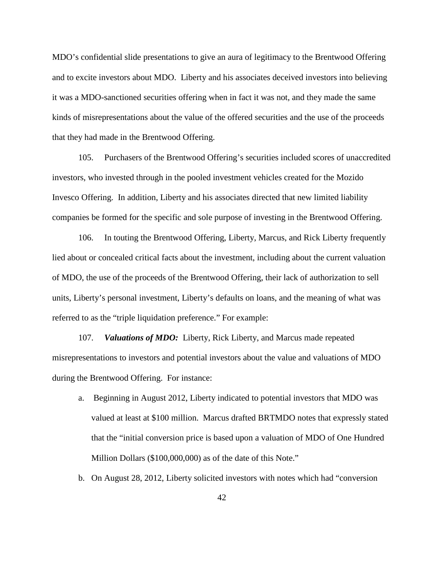MDO's confidential slide presentations to give an aura of legitimacy to the Brentwood Offering and to excite investors about MDO. Liberty and his associates deceived investors into believing it was a MDO-sanctioned securities offering when in fact it was not, and they made the same kinds of misrepresentations about the value of the offered securities and the use of the proceeds that they had made in the Brentwood Offering.

105. Purchasers of the Brentwood Offering's securities included scores of unaccredited investors, who invested through in the pooled investment vehicles created for the Mozido Invesco Offering. In addition, Liberty and his associates directed that new limited liability companies be formed for the specific and sole purpose of investing in the Brentwood Offering.

106. In touting the Brentwood Offering, Liberty, Marcus, and Rick Liberty frequently lied about or concealed critical facts about the investment, including about the current valuation of MDO, the use of the proceeds of the Brentwood Offering, their lack of authorization to sell units, Liberty's personal investment, Liberty's defaults on loans, and the meaning of what was referred to as the "triple liquidation preference." For example:

107. *Valuations of MDO:*Liberty, Rick Liberty, and Marcus made repeated misrepresentations to investors and potential investors about the value and valuations of MDO during the Brentwood Offering. For instance:

- a. Beginning in August 2012, Liberty indicated to potential investors that MDO was valued at least at \$100 million. Marcus drafted BRTMDO notes that expressly stated that the "initial conversion price is based upon a valuation of MDO of One Hundred Million Dollars (\$100,000,000) as of the date of this Note."
- b. On August 28, 2012, Liberty solicited investors with notes which had "conversion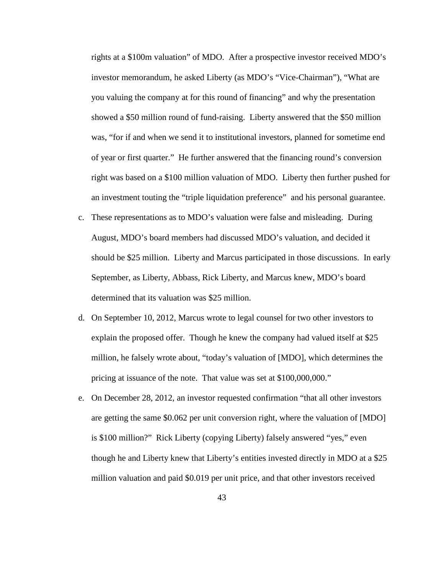rights at a \$100m valuation" of MDO. After a prospective investor received MDO's investor memorandum, he asked Liberty (as MDO's "Vice-Chairman"), "What are you valuing the company at for this round of financing" and why the presentation showed a \$50 million round of fund-raising. Liberty answered that the \$50 million was, "for if and when we send it to institutional investors, planned for sometime end of year or first quarter." He further answered that the financing round's conversion right was based on a \$100 million valuation of MDO. Liberty then further pushed for an investment touting the "triple liquidation preference" and his personal guarantee.

- c. These representations as to MDO's valuation were false and misleading. During August, MDO's board members had discussed MDO's valuation, and decided it should be \$25 million. Liberty and Marcus participated in those discussions. In early September, as Liberty, Abbass, Rick Liberty, and Marcus knew, MDO's board determined that its valuation was \$25 million.
- d. On September 10, 2012, Marcus wrote to legal counsel for two other investors to explain the proposed offer. Though he knew the company had valued itself at \$25 million, he falsely wrote about, "today's valuation of [MDO], which determines the pricing at issuance of the note. That value was set at \$100,000,000."
- e. On December 28, 2012, an investor requested confirmation "that all other investors are getting the same \$0.062 per unit conversion right, where the valuation of [MDO] is \$100 million?" Rick Liberty (copying Liberty) falsely answered "yes," even though he and Liberty knew that Liberty's entities invested directly in MDO at a \$25 million valuation and paid \$0.019 per unit price, and that other investors received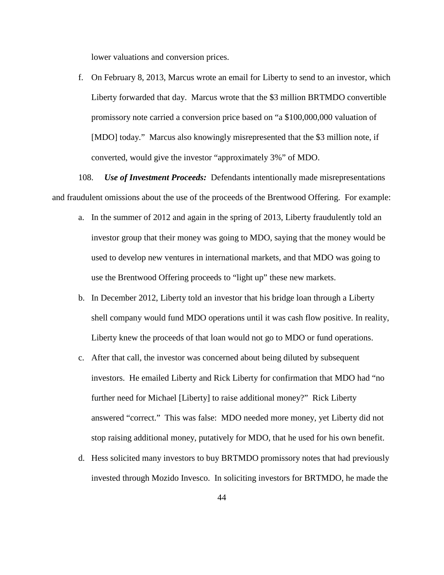lower valuations and conversion prices.

f. On February 8, 2013, Marcus wrote an email for Liberty to send to an investor, which Liberty forwarded that day. Marcus wrote that the \$3 million BRTMDO convertible promissory note carried a conversion price based on "a \$100,000,000 valuation of [MDO] today." Marcus also knowingly misrepresented that the \$3 million note, if converted, would give the investor "approximately 3%" of MDO.

108. *Use of Investment Proceeds:*Defendants intentionally made misrepresentations and fraudulent omissions about the use of the proceeds of the Brentwood Offering. For example:

- a. In the summer of 2012 and again in the spring of 2013, Liberty fraudulently told an investor group that their money was going to MDO, saying that the money would be used to develop new ventures in international markets, and that MDO was going to use the Brentwood Offering proceeds to "light up" these new markets.
- b. In December 2012, Liberty told an investor that his bridge loan through a Liberty shell company would fund MDO operations until it was cash flow positive. In reality, Liberty knew the proceeds of that loan would not go to MDO or fund operations.
- c. After that call, the investor was concerned about being diluted by subsequent investors. He emailed Liberty and Rick Liberty for confirmation that MDO had "no further need for Michael [Liberty] to raise additional money?" Rick Liberty answered "correct." This was false: MDO needed more money, yet Liberty did not stop raising additional money, putatively for MDO, that he used for his own benefit.
- d. Hess solicited many investors to buy BRTMDO promissory notes that had previously invested through Mozido Invesco. In soliciting investors for BRTMDO, he made the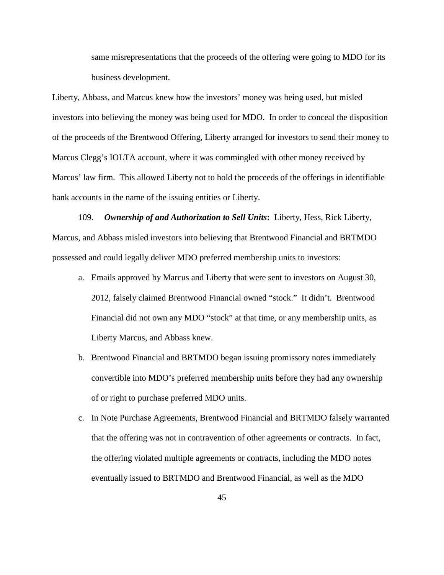same misrepresentations that the proceeds of the offering were going to MDO for its business development.

Liberty, Abbass, and Marcus knew how the investors' money was being used, but misled investors into believing the money was being used for MDO. In order to conceal the disposition of the proceeds of the Brentwood Offering, Liberty arranged for investors to send their money to Marcus Clegg's IOLTA account, where it was commingled with other money received by Marcus' law firm. This allowed Liberty not to hold the proceeds of the offerings in identifiable bank accounts in the name of the issuing entities or Liberty.

109. *Ownership of and Authorization to Sell Units***:** Liberty, Hess, Rick Liberty, Marcus, and Abbass misled investors into believing that Brentwood Financial and BRTMDO possessed and could legally deliver MDO preferred membership units to investors:

- a. Emails approved by Marcus and Liberty that were sent to investors on August 30, 2012, falsely claimed Brentwood Financial owned "stock." It didn't. Brentwood Financial did not own any MDO "stock" at that time, or any membership units, as Liberty Marcus, and Abbass knew.
- b. Brentwood Financial and BRTMDO began issuing promissory notes immediately convertible into MDO's preferred membership units before they had any ownership of or right to purchase preferred MDO units.
- c. In Note Purchase Agreements, Brentwood Financial and BRTMDO falsely warranted that the offering was not in contravention of other agreements or contracts. In fact, the offering violated multiple agreements or contracts, including the MDO notes eventually issued to BRTMDO and Brentwood Financial, as well as the MDO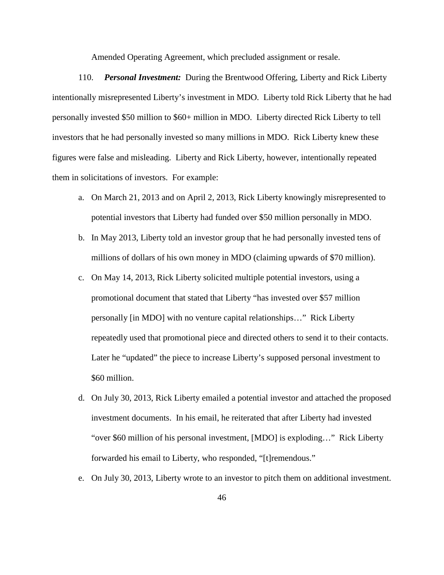Amended Operating Agreement, which precluded assignment or resale.

110. *Personal Investment:*During the Brentwood Offering, Liberty and Rick Liberty intentionally misrepresented Liberty's investment in MDO. Liberty told Rick Liberty that he had personally invested \$50 million to \$60+ million in MDO. Liberty directed Rick Liberty to tell investors that he had personally invested so many millions in MDO. Rick Liberty knew these figures were false and misleading. Liberty and Rick Liberty, however, intentionally repeated them in solicitations of investors. For example:

- a. On March 21, 2013 and on April 2, 2013, Rick Liberty knowingly misrepresented to potential investors that Liberty had funded over \$50 million personally in MDO.
- b. In May 2013, Liberty told an investor group that he had personally invested tens of millions of dollars of his own money in MDO (claiming upwards of \$70 million).
- c. On May 14, 2013, Rick Liberty solicited multiple potential investors, using a promotional document that stated that Liberty "has invested over \$57 million personally [in MDO] with no venture capital relationships…" Rick Liberty repeatedly used that promotional piece and directed others to send it to their contacts. Later he "updated" the piece to increase Liberty's supposed personal investment to \$60 million.
- d. On July 30, 2013, Rick Liberty emailed a potential investor and attached the proposed investment documents. In his email, he reiterated that after Liberty had invested "over \$60 million of his personal investment, [MDO] is exploding…" Rick Liberty forwarded his email to Liberty, who responded, "[t]remendous."
- e. On July 30, 2013, Liberty wrote to an investor to pitch them on additional investment.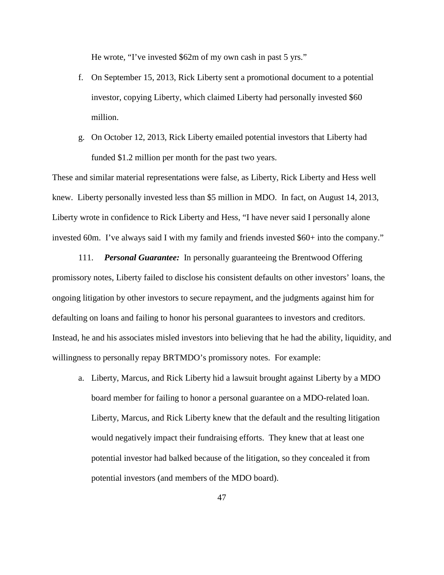He wrote, "I've invested \$62m of my own cash in past 5 yrs."

- f. On September 15, 2013, Rick Liberty sent a promotional document to a potential investor, copying Liberty, which claimed Liberty had personally invested \$60 million.
- g. On October 12, 2013, Rick Liberty emailed potential investors that Liberty had funded \$1.2 million per month for the past two years.

These and similar material representations were false, as Liberty, Rick Liberty and Hess well knew. Liberty personally invested less than \$5 million in MDO. In fact, on August 14, 2013, Liberty wrote in confidence to Rick Liberty and Hess, "I have never said I personally alone invested 60m. I've always said I with my family and friends invested \$60+ into the company."

111. *Personal Guarantee:*In personally guaranteeing the Brentwood Offering promissory notes, Liberty failed to disclose his consistent defaults on other investors' loans, the ongoing litigation by other investors to secure repayment, and the judgments against him for defaulting on loans and failing to honor his personal guarantees to investors and creditors. Instead, he and his associates misled investors into believing that he had the ability, liquidity, and willingness to personally repay BRTMDO's promissory notes. For example:

a. Liberty, Marcus, and Rick Liberty hid a lawsuit brought against Liberty by a MDO board member for failing to honor a personal guarantee on a MDO-related loan. Liberty, Marcus, and Rick Liberty knew that the default and the resulting litigation would negatively impact their fundraising efforts. They knew that at least one potential investor had balked because of the litigation, so they concealed it from potential investors (and members of the MDO board).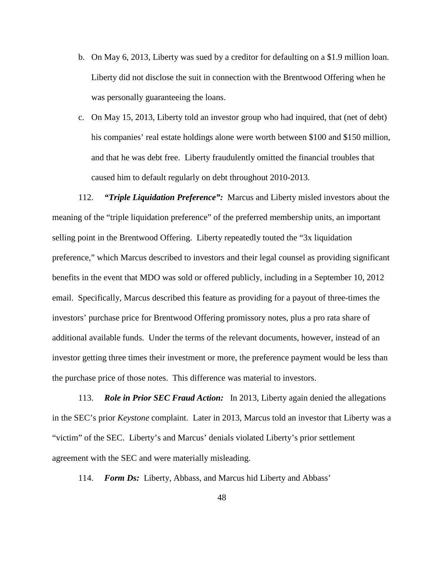- b. On May 6, 2013, Liberty was sued by a creditor for defaulting on a \$1.9 million loan. Liberty did not disclose the suit in connection with the Brentwood Offering when he was personally guaranteeing the loans.
- c. On May 15, 2013, Liberty told an investor group who had inquired, that (net of debt) his companies' real estate holdings alone were worth between \$100 and \$150 million, and that he was debt free. Liberty fraudulently omitted the financial troubles that caused him to default regularly on debt throughout 2010-2013.

112. *"Triple Liquidation Preference":*Marcus and Liberty misled investors about the meaning of the "triple liquidation preference" of the preferred membership units, an important selling point in the Brentwood Offering. Liberty repeatedly touted the "3x liquidation preference," which Marcus described to investors and their legal counsel as providing significant benefits in the event that MDO was sold or offered publicly, including in a September 10, 2012 email. Specifically, Marcus described this feature as providing for a payout of three-times the investors' purchase price for Brentwood Offering promissory notes, plus a pro rata share of additional available funds. Under the terms of the relevant documents, however, instead of an investor getting three times their investment or more, the preference payment would be less than the purchase price of those notes. This difference was material to investors.

113. *Role in Prior SEC Fraud Action:*In 2013, Liberty again denied the allegations in the SEC's prior *Keystone* complaint. Later in 2013, Marcus told an investor that Liberty was a "victim" of the SEC. Liberty's and Marcus' denials violated Liberty's prior settlement agreement with the SEC and were materially misleading.

114. *Form Ds:* Liberty, Abbass, and Marcus hid Liberty and Abbass'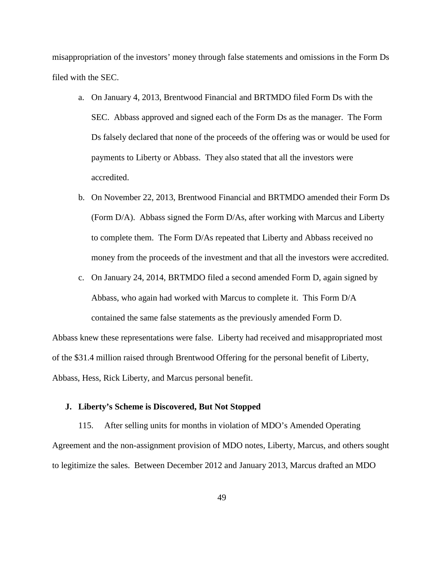misappropriation of the investors' money through false statements and omissions in the Form Ds filed with the SEC.

- a. On January 4, 2013, Brentwood Financial and BRTMDO filed Form Ds with the SEC. Abbass approved and signed each of the Form Ds as the manager. The Form Ds falsely declared that none of the proceeds of the offering was or would be used for payments to Liberty or Abbass. They also stated that all the investors were accredited.
- b. On November 22, 2013, Brentwood Financial and BRTMDO amended their Form Ds (Form D/A). Abbass signed the Form D/As, after working with Marcus and Liberty to complete them. The Form D/As repeated that Liberty and Abbass received no money from the proceeds of the investment and that all the investors were accredited.
- c. On January 24, 2014, BRTMDO filed a second amended Form D, again signed by Abbass, who again had worked with Marcus to complete it. This Form D/A contained the same false statements as the previously amended Form D.

Abbass knew these representations were false. Liberty had received and misappropriated most of the \$31.4 million raised through Brentwood Offering for the personal benefit of Liberty, Abbass, Hess, Rick Liberty, and Marcus personal benefit.

### **J. Liberty's Scheme is Discovered, But Not Stopped**

115. After selling units for months in violation of MDO's Amended Operating Agreement and the non-assignment provision of MDO notes, Liberty, Marcus, and others sought to legitimize the sales. Between December 2012 and January 2013, Marcus drafted an MDO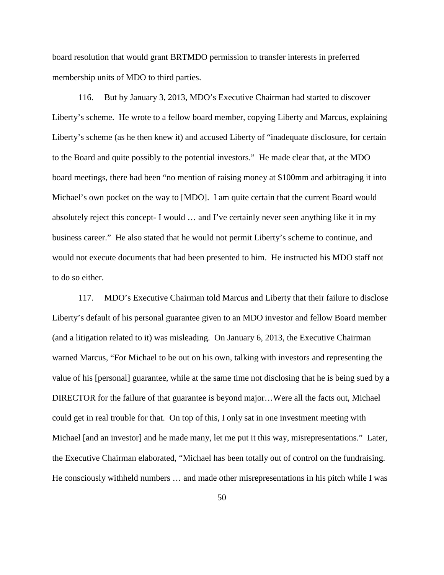board resolution that would grant BRTMDO permission to transfer interests in preferred membership units of MDO to third parties.

116. But by January 3, 2013, MDO's Executive Chairman had started to discover Liberty's scheme. He wrote to a fellow board member, copying Liberty and Marcus, explaining Liberty's scheme (as he then knew it) and accused Liberty of "inadequate disclosure, for certain to the Board and quite possibly to the potential investors." He made clear that, at the MDO board meetings, there had been "no mention of raising money at \$100mm and arbitraging it into Michael's own pocket on the way to [MDO]. I am quite certain that the current Board would absolutely reject this concept- I would … and I've certainly never seen anything like it in my business career." He also stated that he would not permit Liberty's scheme to continue, and would not execute documents that had been presented to him. He instructed his MDO staff not to do so either.

117. MDO's Executive Chairman told Marcus and Liberty that their failure to disclose Liberty's default of his personal guarantee given to an MDO investor and fellow Board member (and a litigation related to it) was misleading. On January 6, 2013, the Executive Chairman warned Marcus, "For Michael to be out on his own, talking with investors and representing the value of his [personal] guarantee, while at the same time not disclosing that he is being sued by a DIRECTOR for the failure of that guarantee is beyond major…Were all the facts out, Michael could get in real trouble for that. On top of this, I only sat in one investment meeting with Michael [and an investor] and he made many, let me put it this way, misrepresentations." Later, the Executive Chairman elaborated, "Michael has been totally out of control on the fundraising. He consciously withheld numbers … and made other misrepresentations in his pitch while I was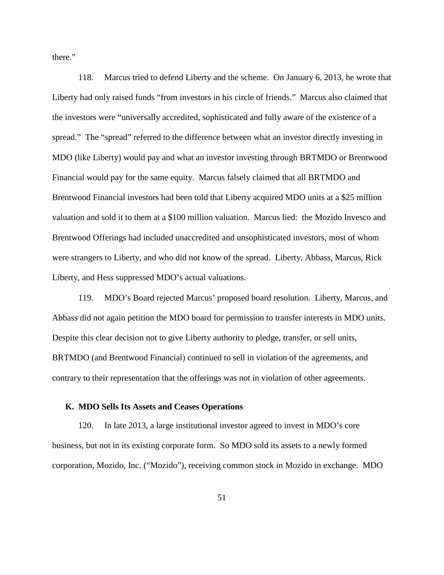there."

118. Marcus tried to defend Liberty and the scheme. On January 6, 2013, he wrote that Liberty had only raised funds "from investors in his circle of friends." Marcus also claimed that the investors were "universally accredited, sophisticated and fully aware of the existence of a spread." The "spread" referred to the difference between what an investor directly investing in MDO (like Liberty) would pay and what an investor investing through BRTMDO or Brentwood Financial would pay for the same equity. Marcus falsely claimed that all BRTMDO and Brentwood Financial investors had been told that Liberty acquired MDO units at a \$25 million valuation and sold it to them at a \$100 million valuation. Marcus lied: the Mozido Invesco and Brentwood Offerings had included unaccredited and unsophisticated investors, most of whom were strangers to Liberty, and who did not know of the spread. Liberty, Abbass, Marcus, Rick Liberty, and Hess suppressed MDO's actual valuations.

119. MDO's Board rejected Marcus' proposed board resolution. Liberty, Marcus, and Abbass did not again petition the MDO board for permission to transfer interests in MDO units. Despite this clear decision not to give Liberty authority to pledge, transfer, or sell units, BRTMDO (and Brentwood Financial) continued to sell in violation of the agreements, and contrary to their representation that the offerings was not in violation of other agreements.

### **K. MDO Sells Its Assets and Ceases Operations**

120. In late 2013, a large institutional investor agreed to invest in MDO's core business, but not in its existing corporate form. So MDO sold its assets to a newly formed corporation, Mozido, Inc. ("Mozido"), receiving common stock in Mozido in exchange. MDO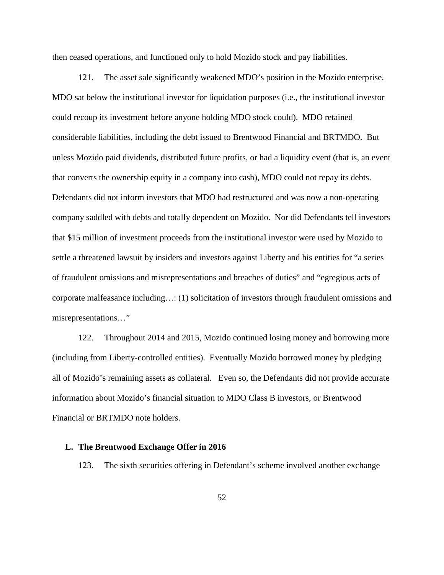then ceased operations, and functioned only to hold Mozido stock and pay liabilities.

121. The asset sale significantly weakened MDO's position in the Mozido enterprise. MDO sat below the institutional investor for liquidation purposes (i.e., the institutional investor could recoup its investment before anyone holding MDO stock could). MDO retained considerable liabilities, including the debt issued to Brentwood Financial and BRTMDO. But unless Mozido paid dividends, distributed future profits, or had a liquidity event (that is, an event that converts the ownership equity in a company into cash), MDO could not repay its debts. Defendants did not inform investors that MDO had restructured and was now a non-operating company saddled with debts and totally dependent on Mozido. Nor did Defendants tell investors that \$15 million of investment proceeds from the institutional investor were used by Mozido to settle a threatened lawsuit by insiders and investors against Liberty and his entities for "a series of fraudulent omissions and misrepresentations and breaches of duties" and "egregious acts of corporate malfeasance including…: (1) solicitation of investors through fraudulent omissions and misrepresentations…"

122. Throughout 2014 and 2015, Mozido continued losing money and borrowing more (including from Liberty-controlled entities). Eventually Mozido borrowed money by pledging all of Mozido's remaining assets as collateral. Even so, the Defendants did not provide accurate information about Mozido's financial situation to MDO Class B investors, or Brentwood Financial or BRTMDO note holders.

### **L. The Brentwood Exchange Offer in 2016**

123. The sixth securities offering in Defendant's scheme involved another exchange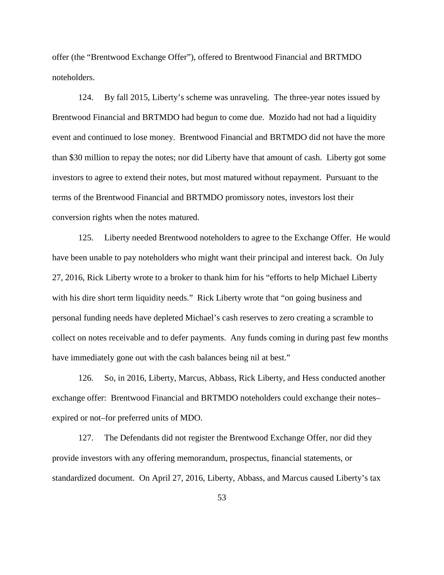offer (the "Brentwood Exchange Offer"), offered to Brentwood Financial and BRTMDO noteholders.

124. By fall 2015, Liberty's scheme was unraveling. The three-year notes issued by Brentwood Financial and BRTMDO had begun to come due. Mozido had not had a liquidity event and continued to lose money. Brentwood Financial and BRTMDO did not have the more than \$30 million to repay the notes; nor did Liberty have that amount of cash. Liberty got some investors to agree to extend their notes, but most matured without repayment. Pursuant to the terms of the Brentwood Financial and BRTMDO promissory notes, investors lost their conversion rights when the notes matured.

125. Liberty needed Brentwood noteholders to agree to the Exchange Offer. He would have been unable to pay noteholders who might want their principal and interest back. On July 27, 2016, Rick Liberty wrote to a broker to thank him for his "efforts to help Michael Liberty with his dire short term liquidity needs." Rick Liberty wrote that "on going business and personal funding needs have depleted Michael's cash reserves to zero creating a scramble to collect on notes receivable and to defer payments. Any funds coming in during past few months have immediately gone out with the cash balances being nil at best."

126. So, in 2016, Liberty, Marcus, Abbass, Rick Liberty, and Hess conducted another exchange offer: Brentwood Financial and BRTMDO noteholders could exchange their notes– expired or not–for preferred units of MDO.

127. The Defendants did not register the Brentwood Exchange Offer, nor did they provide investors with any offering memorandum, prospectus, financial statements, or standardized document. On April 27, 2016, Liberty, Abbass, and Marcus caused Liberty's tax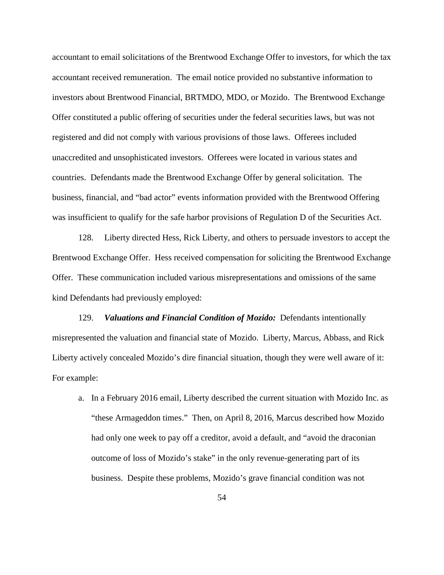accountant to email solicitations of the Brentwood Exchange Offer to investors, for which the tax accountant received remuneration. The email notice provided no substantive information to investors about Brentwood Financial, BRTMDO, MDO, or Mozido. The Brentwood Exchange Offer constituted a public offering of securities under the federal securities laws, but was not registered and did not comply with various provisions of those laws. Offerees included unaccredited and unsophisticated investors. Offerees were located in various states and countries. Defendants made the Brentwood Exchange Offer by general solicitation. The business, financial, and "bad actor" events information provided with the Brentwood Offering was insufficient to qualify for the safe harbor provisions of Regulation D of the Securities Act.

128. Liberty directed Hess, Rick Liberty, and others to persuade investors to accept the Brentwood Exchange Offer. Hess received compensation for soliciting the Brentwood Exchange Offer. These communication included various misrepresentations and omissions of the same kind Defendants had previously employed:

129. *Valuations and Financial Condition of Mozido:*Defendants intentionally misrepresented the valuation and financial state of Mozido. Liberty, Marcus, Abbass, and Rick Liberty actively concealed Mozido's dire financial situation, though they were well aware of it: For example:

a. In a February 2016 email, Liberty described the current situation with Mozido Inc. as "these Armageddon times." Then, on April 8, 2016, Marcus described how Mozido had only one week to pay off a creditor, avoid a default, and "avoid the draconian outcome of loss of Mozido's stake" in the only revenue-generating part of its business. Despite these problems, Mozido's grave financial condition was not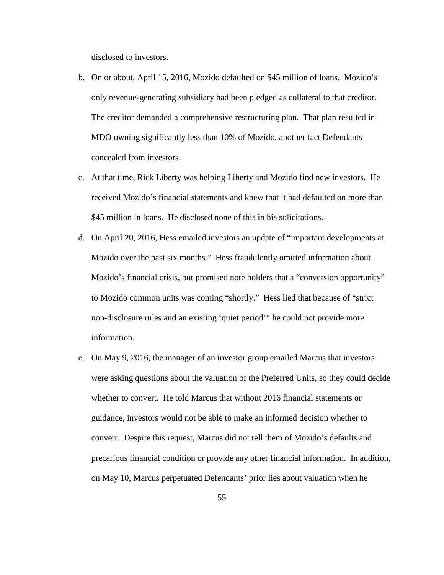disclosed to investors.

- b. On or about, April 15, 2016, Mozido defaulted on \$45 million of loans. Mozido's only revenue-generating subsidiary had been pledged as collateral to that creditor. The creditor demanded a comprehensive restructuring plan. That plan resulted in MDO owning significantly less than 10% of Mozido, another fact Defendants concealed from investors.
- c. At that time, Rick Liberty was helping Liberty and Mozido find new investors. He received Mozido's financial statements and knew that it had defaulted on more than \$45 million in loans. He disclosed none of this in his solicitations.
- d. On April 20, 2016, Hess emailed investors an update of "important developments at Mozido over the past six months." Hess fraudulently omitted information about Mozido's financial crisis, but promised note holders that a "conversion opportunity" to Mozido common units was coming "shortly." Hess lied that because of "strict non-disclosure rules and an existing 'quiet period'" he could not provide more information.
- e. On May 9, 2016, the manager of an investor group emailed Marcus that investors were asking questions about the valuation of the Preferred Units, so they could decide whether to convert. He told Marcus that without 2016 financial statements or guidance, investors would not be able to make an informed decision whether to convert. Despite this request, Marcus did not tell them of Mozido's defaults and precarious financial condition or provide any other financial information. In addition, on May 10, Marcus perpetuated Defendants' prior lies about valuation when he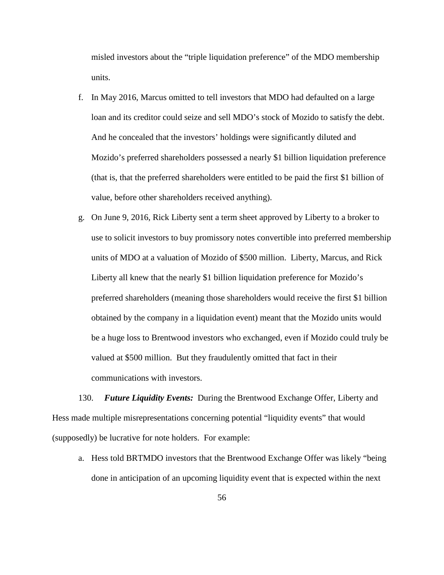misled investors about the "triple liquidation preference" of the MDO membership units.

- f. In May 2016, Marcus omitted to tell investors that MDO had defaulted on a large loan and its creditor could seize and sell MDO's stock of Mozido to satisfy the debt. And he concealed that the investors' holdings were significantly diluted and Mozido's preferred shareholders possessed a nearly \$1 billion liquidation preference (that is, that the preferred shareholders were entitled to be paid the first \$1 billion of value, before other shareholders received anything).
- g. On June 9, 2016, Rick Liberty sent a term sheet approved by Liberty to a broker to use to solicit investors to buy promissory notes convertible into preferred membership units of MDO at a valuation of Mozido of \$500 million. Liberty, Marcus, and Rick Liberty all knew that the nearly \$1 billion liquidation preference for Mozido's preferred shareholders (meaning those shareholders would receive the first \$1 billion obtained by the company in a liquidation event) meant that the Mozido units would be a huge loss to Brentwood investors who exchanged, even if Mozido could truly be valued at \$500 million. But they fraudulently omitted that fact in their communications with investors.

130. *Future Liquidity Events:* During the Brentwood Exchange Offer, Liberty and Hess made multiple misrepresentations concerning potential "liquidity events" that would (supposedly) be lucrative for note holders. For example:

a. Hess told BRTMDO investors that the Brentwood Exchange Offer was likely "being done in anticipation of an upcoming liquidity event that is expected within the next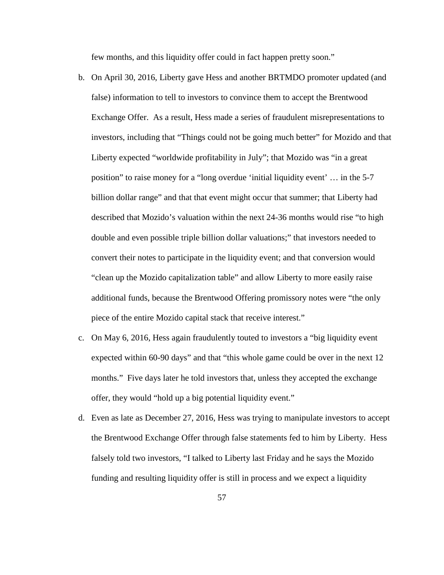few months, and this liquidity offer could in fact happen pretty soon."

- b. On April 30, 2016, Liberty gave Hess and another BRTMDO promoter updated (and false) information to tell to investors to convince them to accept the Brentwood Exchange Offer. As a result, Hess made a series of fraudulent misrepresentations to investors, including that "Things could not be going much better" for Mozido and that Liberty expected "worldwide profitability in July"; that Mozido was "in a great position" to raise money for a "long overdue 'initial liquidity event' … in the 5-7 billion dollar range" and that that event might occur that summer; that Liberty had described that Mozido's valuation within the next 24-36 months would rise "to high double and even possible triple billion dollar valuations;" that investors needed to convert their notes to participate in the liquidity event; and that conversion would "clean up the Mozido capitalization table" and allow Liberty to more easily raise additional funds, because the Brentwood Offering promissory notes were "the only piece of the entire Mozido capital stack that receive interest."
- c. On May 6, 2016, Hess again fraudulently touted to investors a "big liquidity event expected within 60-90 days" and that "this whole game could be over in the next 12 months." Five days later he told investors that, unless they accepted the exchange offer, they would "hold up a big potential liquidity event."
- d. Even as late as December 27, 2016, Hess was trying to manipulate investors to accept the Brentwood Exchange Offer through false statements fed to him by Liberty. Hess falsely told two investors, "I talked to Liberty last Friday and he says the Mozido funding and resulting liquidity offer is still in process and we expect a liquidity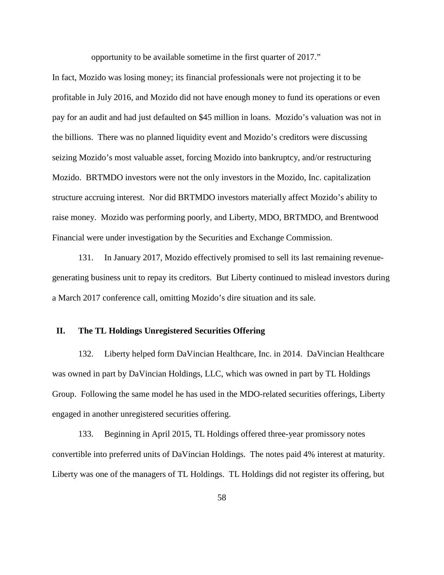opportunity to be available sometime in the first quarter of 2017."

In fact, Mozido was losing money; its financial professionals were not projecting it to be profitable in July 2016, and Mozido did not have enough money to fund its operations or even pay for an audit and had just defaulted on \$45 million in loans. Mozido's valuation was not in the billions. There was no planned liquidity event and Mozido's creditors were discussing seizing Mozido's most valuable asset, forcing Mozido into bankruptcy, and/or restructuring Mozido. BRTMDO investors were not the only investors in the Mozido, Inc. capitalization structure accruing interest. Nor did BRTMDO investors materially affect Mozido's ability to raise money. Mozido was performing poorly, and Liberty, MDO, BRTMDO, and Brentwood Financial were under investigation by the Securities and Exchange Commission.

131. In January 2017, Mozido effectively promised to sell its last remaining revenuegenerating business unit to repay its creditors. But Liberty continued to mislead investors during a March 2017 conference call, omitting Mozido's dire situation and its sale.

### **II. The TL Holdings Unregistered Securities Offering**

132. Liberty helped form DaVincian Healthcare, Inc. in 2014. DaVincian Healthcare was owned in part by DaVincian Holdings, LLC, which was owned in part by TL Holdings Group. Following the same model he has used in the MDO-related securities offerings, Liberty engaged in another unregistered securities offering.

<span id="page-57-0"></span>133. Beginning in April 2015, TL Holdings offered three-year promissory notes convertible into preferred units of DaVincian Holdings. The notes paid 4% interest at maturity. Liberty was one of the managers of TL Holdings. TL Holdings did not register its offering, but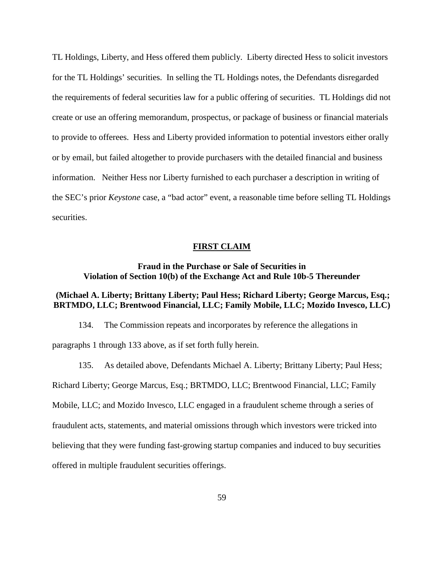TL Holdings, Liberty, and Hess offered them publicly. Liberty directed Hess to solicit investors for the TL Holdings' securities. In selling the TL Holdings notes, the Defendants disregarded the requirements of federal securities law for a public offering of securities. TL Holdings did not create or use an offering memorandum, prospectus, or package of business or financial materials to provide to offerees. Hess and Liberty provided information to potential investors either orally or by email, but failed altogether to provide purchasers with the detailed financial and business information. Neither Hess nor Liberty furnished to each purchaser a description in writing of the SEC's prior *Keystone* case, a "bad actor" event, a reasonable time before selling TL Holdings securities.

#### **FIRST CLAIM**

## **Fraud in the Purchase or Sale of Securities in Violation of Section 10(b) of the Exchange Act and Rule 10b-5 Thereunder**

# **(Michael A. Liberty; Brittany Liberty; Paul Hess; Richard Liberty; George Marcus, Esq.; BRTMDO, LLC; Brentwood Financial, LLC; Family Mobile, LLC; Mozido Invesco, LLC)**

134. The Commission repeats and incorporates by reference the allegations in paragraphs 1 through [133](#page-57-0) above, as if set forth fully herein.

135. As detailed above, Defendants Michael A. Liberty; Brittany Liberty; Paul Hess; Richard Liberty; George Marcus, Esq.; BRTMDO, LLC; Brentwood Financial, LLC; Family Mobile, LLC; and Mozido Invesco, LLC engaged in a fraudulent scheme through a series of fraudulent acts, statements, and material omissions through which investors were tricked into believing that they were funding fast-growing startup companies and induced to buy securities offered in multiple fraudulent securities offerings.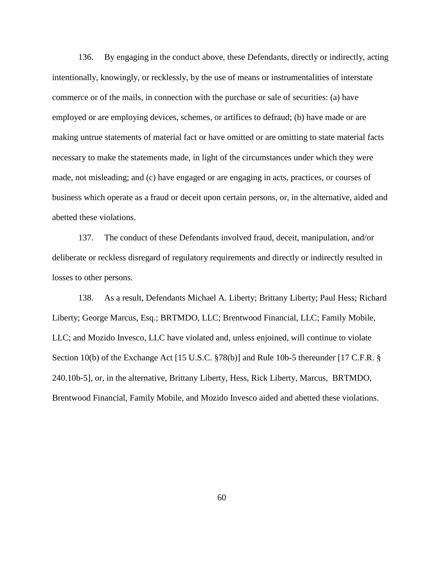136. By engaging in the conduct above, these Defendants, directly or indirectly, acting intentionally, knowingly, or recklessly, by the use of means or instrumentalities of interstate commerce or of the mails, in connection with the purchase or sale of securities: (a) have employed or are employing devices, schemes, or artifices to defraud; (b) have made or are making untrue statements of material fact or have omitted or are omitting to state material facts necessary to make the statements made, in light of the circumstances under which they were made, not misleading; and (c) have engaged or are engaging in acts, practices, or courses of business which operate as a fraud or deceit upon certain persons, or, in the alternative, aided and abetted these violations.

137. The conduct of these Defendants involved fraud, deceit, manipulation, and/or deliberate or reckless disregard of regulatory requirements and directly or indirectly resulted in losses to other persons.

<span id="page-59-0"></span>138. As a result, Defendants Michael A. Liberty; Brittany Liberty; Paul Hess; Richard Liberty; George Marcus, Esq.; BRTMDO, LLC; Brentwood Financial, LLC; Family Mobile, LLC; and Mozido Invesco, LLC have violated and, unless enjoined, will continue to violate Section 10(b) of the Exchange Act [15 U.S.C. §78(b)] and Rule 10b-5 thereunder [17 C.F.R. § 240.10b-5], or, in the alternative, Brittany Liberty, Hess, Rick Liberty, Marcus, BRTMDO, Brentwood Financial, Family Mobile, and Mozido Invesco aided and abetted these violations.

60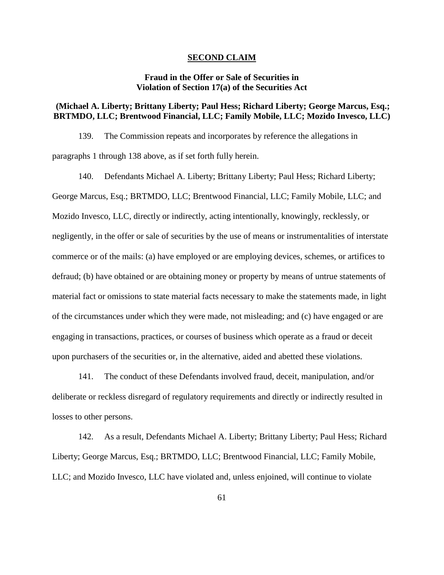#### **SECOND CLAIM**

## **Fraud in the Offer or Sale of Securities in Violation of Section 17(a) of the Securities Act**

## **(Michael A. Liberty; Brittany Liberty; Paul Hess; Richard Liberty; George Marcus, Esq.; BRTMDO, LLC; Brentwood Financial, LLC; Family Mobile, LLC; Mozido Invesco, LLC)**

139. The Commission repeats and incorporates by reference the allegations in paragraphs 1 through [138](#page-59-0) above, as if set forth fully herein.

140. Defendants Michael A. Liberty; Brittany Liberty; Paul Hess; Richard Liberty; George Marcus, Esq.; BRTMDO, LLC; Brentwood Financial, LLC; Family Mobile, LLC; and Mozido Invesco, LLC, directly or indirectly, acting intentionally, knowingly, recklessly, or negligently, in the offer or sale of securities by the use of means or instrumentalities of interstate commerce or of the mails: (a) have employed or are employing devices, schemes, or artifices to defraud; (b) have obtained or are obtaining money or property by means of untrue statements of material fact or omissions to state material facts necessary to make the statements made, in light of the circumstances under which they were made, not misleading; and (c) have engaged or are engaging in transactions, practices, or courses of business which operate as a fraud or deceit upon purchasers of the securities or, in the alternative, aided and abetted these violations.

141. The conduct of these Defendants involved fraud, deceit, manipulation, and/or deliberate or reckless disregard of regulatory requirements and directly or indirectly resulted in losses to other persons.

<span id="page-60-0"></span>142. As a result, Defendants Michael A. Liberty; Brittany Liberty; Paul Hess; Richard Liberty; George Marcus, Esq.; BRTMDO, LLC; Brentwood Financial, LLC; Family Mobile, LLC; and Mozido Invesco, LLC have violated and, unless enjoined, will continue to violate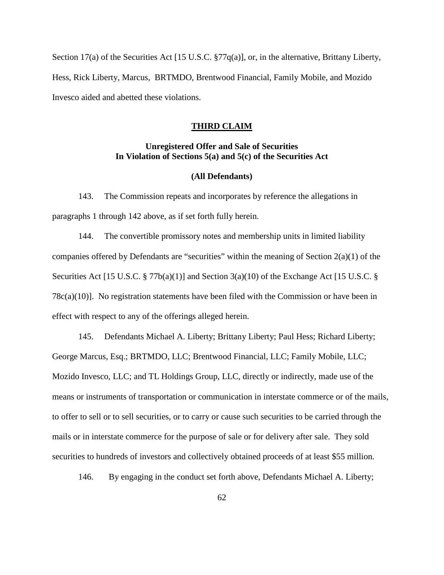Section 17(a) of the Securities Act [15 U.S.C. §77q(a)], or, in the alternative, Brittany Liberty, Hess, Rick Liberty, Marcus, BRTMDO, Brentwood Financial, Family Mobile, and Mozido Invesco aided and abetted these violations.

#### **THIRD CLAIM**

## **Unregistered Offer and Sale of Securities In Violation of Sections 5(a) and 5(c) of the Securities Act**

### **(All Defendants)**

143. The Commission repeats and incorporates by reference the allegations in paragraphs 1 through [142](#page-60-0) above, as if set forth fully herein.

144. The convertible promissory notes and membership units in limited liability companies offered by Defendants are "securities" within the meaning of Section 2(a)(1) of the Securities Act [15 U.S.C. § 77b(a)(1)] and Section 3(a)(10) of the Exchange Act [15 U.S.C. § 78c(a)(10)]. No registration statements have been filed with the Commission or have been in effect with respect to any of the offerings alleged herein.

145. Defendants Michael A. Liberty; Brittany Liberty; Paul Hess; Richard Liberty; George Marcus, Esq.; BRTMDO, LLC; Brentwood Financial, LLC; Family Mobile, LLC; Mozido Invesco, LLC; and TL Holdings Group, LLC, directly or indirectly, made use of the means or instruments of transportation or communication in interstate commerce or of the mails, to offer to sell or to sell securities, or to carry or cause such securities to be carried through the mails or in interstate commerce for the purpose of sale or for delivery after sale. They sold securities to hundreds of investors and collectively obtained proceeds of at least \$55 million.

<span id="page-61-0"></span>146. By engaging in the conduct set forth above, Defendants Michael A. Liberty;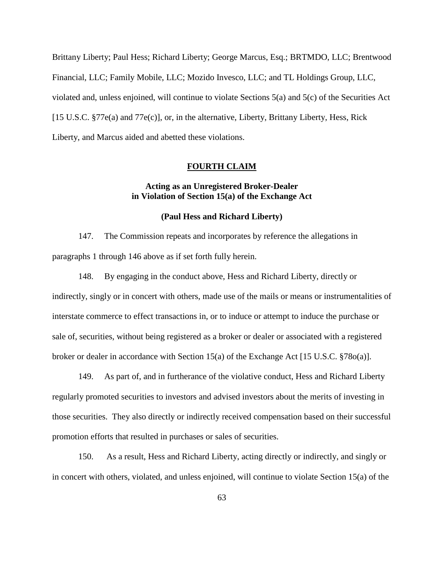Brittany Liberty; Paul Hess; Richard Liberty; George Marcus, Esq.; BRTMDO, LLC; Brentwood Financial, LLC; Family Mobile, LLC; Mozido Invesco, LLC; and TL Holdings Group, LLC, violated and, unless enjoined, will continue to violate Sections 5(a) and 5(c) of the Securities Act [15 U.S.C. §77e(a) and 77e(c)], or, in the alternative, Liberty, Brittany Liberty, Hess, Rick Liberty, and Marcus aided and abetted these violations.

#### **FOURTH CLAIM**

## **Acting as an Unregistered Broker-Dealer in Violation of Section 15(a) of the Exchange Act**

#### **(Paul Hess and Richard Liberty)**

147. The Commission repeats and incorporates by reference the allegations in paragraphs 1 through [146](#page-61-0) above as if set forth fully herein.

148. By engaging in the conduct above, Hess and Richard Liberty, directly or indirectly, singly or in concert with others, made use of the mails or means or instrumentalities of interstate commerce to effect transactions in, or to induce or attempt to induce the purchase or sale of, securities, without being registered as a broker or dealer or associated with a registered broker or dealer in accordance with Section 15(a) of the Exchange Act [15 U.S.C. §78o(a)].

149. As part of, and in furtherance of the violative conduct, Hess and Richard Liberty regularly promoted securities to investors and advised investors about the merits of investing in those securities. They also directly or indirectly received compensation based on their successful promotion efforts that resulted in purchases or sales of securities.

<span id="page-62-0"></span>150. As a result, Hess and Richard Liberty, acting directly or indirectly, and singly or in concert with others, violated, and unless enjoined, will continue to violate Section 15(a) of the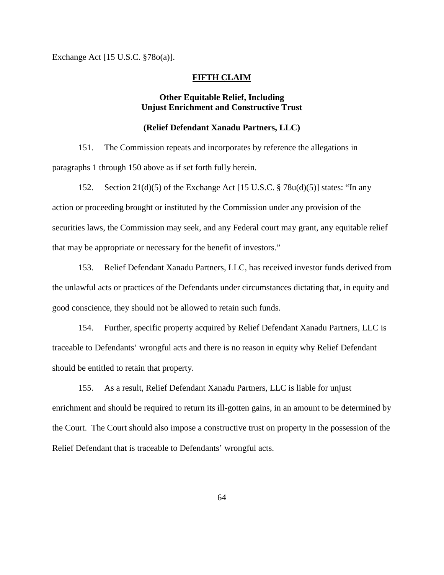Exchange Act [15 U.S.C. §78o(a)].

### **FIFTH CLAIM**

# **Other Equitable Relief, Including Unjust Enrichment and Constructive Trust**

## **(Relief Defendant Xanadu Partners, LLC)**

151. The Commission repeats and incorporates by reference the allegations in paragraphs 1 through [150](#page-62-0) above as if set forth fully herein.

152. Section 21(d)(5) of the Exchange Act [15 U.S.C. § 78u(d)(5)] states: "In any action or proceeding brought or instituted by the Commission under any provision of the securities laws, the Commission may seek, and any Federal court may grant, any equitable relief that may be appropriate or necessary for the benefit of investors."

153. Relief Defendant Xanadu Partners, LLC, has received investor funds derived from the unlawful acts or practices of the Defendants under circumstances dictating that, in equity and good conscience, they should not be allowed to retain such funds.

154. Further, specific property acquired by Relief Defendant Xanadu Partners, LLC is traceable to Defendants' wrongful acts and there is no reason in equity why Relief Defendant should be entitled to retain that property.

155. As a result, Relief Defendant Xanadu Partners, LLC is liable for unjust enrichment and should be required to return its ill-gotten gains, in an amount to be determined by the Court. The Court should also impose a constructive trust on property in the possession of the Relief Defendant that is traceable to Defendants' wrongful acts.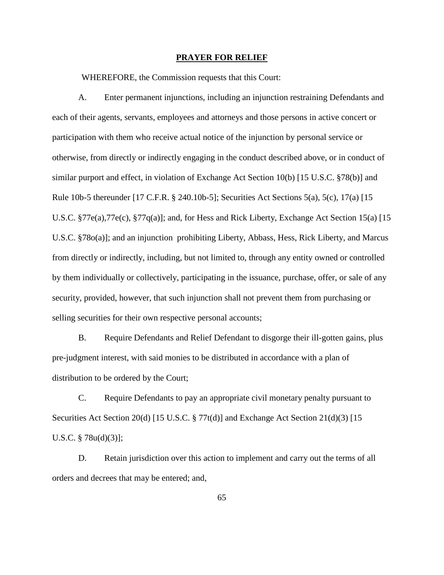#### **PRAYER FOR RELIEF**

WHEREFORE, the Commission requests that this Court:

A. Enter permanent injunctions, including an injunction restraining Defendants and each of their agents, servants, employees and attorneys and those persons in active concert or participation with them who receive actual notice of the injunction by personal service or otherwise, from directly or indirectly engaging in the conduct described above, or in conduct of similar purport and effect, in violation of Exchange Act Section 10(b) [15 U.S.C. §78(b)] and Rule 10b-5 thereunder [17 C.F.R. § 240.10b-5]; Securities Act Sections 5(a), 5(c), 17(a) [15 U.S.C. §77e(a),77e(c), §77q(a)]; and, for Hess and Rick Liberty, Exchange Act Section 15(a) [15 U.S.C. §78o(a)]; and an injunction prohibiting Liberty, Abbass, Hess, Rick Liberty, and Marcus from directly or indirectly, including, but not limited to, through any entity owned or controlled by them individually or collectively, participating in the issuance, purchase, offer, or sale of any security, provided, however, that such injunction shall not prevent them from purchasing or selling securities for their own respective personal accounts;

B. Require Defendants and Relief Defendant to disgorge their ill-gotten gains, plus pre-judgment interest, with said monies to be distributed in accordance with a plan of distribution to be ordered by the Court;

C. Require Defendants to pay an appropriate civil monetary penalty pursuant to Securities Act Section 20(d) [15 U.S.C. § 77t(d)] and Exchange Act Section 21(d)(3) [15 U.S.C. § 78u(d)(3)];

D. Retain jurisdiction over this action to implement and carry out the terms of all orders and decrees that may be entered; and,